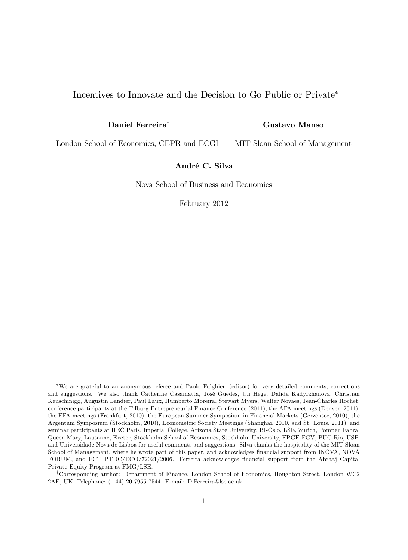## Incentives to Innovate and the Decision to Go Public or Private

Daniel Ferreira<sup>†</sup>

### Gustavo Manso

London School of Economics, CEPR and ECGI MIT Sloan School of Management

## André C. Silva

Nova School of Business and Economics

February 2012

We are grateful to an anonymous referee and Paolo Fulghieri (editor) for very detailed comments, corrections and suggestions. We also thank Catherine Casamatta, José Guedes, Uli Hege, Dalida Kadyrzhanova, Christian Keuschinigg, Augustin Landier, Paul Laux, Humberto Moreira, Stewart Myers, Walter Novaes, Jean-Charles Rochet, conference participants at the Tilburg Entrepreneurial Finance Conference (2011), the AFA meetings (Denver, 2011), the EFA meetings (Frankfurt, 2010), the European Summer Symposium in Financial Markets (Gerzensee, 2010), the Argentum Symposium (Stockholm, 2010), Econometric Society Meetings (Shanghai, 2010, and St. Louis, 2011), and seminar participants at HEC Paris, Imperial College, Arizona State University, BI-Oslo, LSE, Zurich, Pompeu Fabra, Queen Mary, Lausanne, Exeter, Stockholm School of Economics, Stockholm University, EPGE-FGV, PUC-Rio, USP, and Universidade Nova de Lisboa for useful comments and suggestions. Silva thanks the hospitality of the MIT Sloan School of Management, where he wrote part of this paper, and acknowledges financial support from INOVA, NOVA FORUM, and FCT PTDC/ECO/72021/2006. Ferreira acknowledges Önancial support from the Abraaj Capital Private Equity Program at FMG/LSE.

<sup>&</sup>lt;sup>†</sup>Corresponding author: Department of Finance, London School of Economics, Houghton Street, London WC2 2AE, UK. Telephone: (+44) 20 7955 7544. E-mail: D.Ferreira@lse.ac.uk.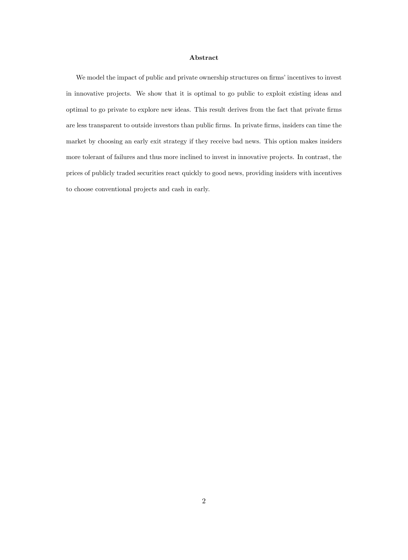#### Abstract

We model the impact of public and private ownership structures on firms' incentives to invest in innovative projects. We show that it is optimal to go public to exploit existing ideas and optimal to go private to explore new ideas. This result derives from the fact that private firms are less transparent to outside investors than public firms. In private firms, insiders can time the market by choosing an early exit strategy if they receive bad news. This option makes insiders more tolerant of failures and thus more inclined to invest in innovative projects. In contrast, the prices of publicly traded securities react quickly to good news, providing insiders with incentives to choose conventional projects and cash in early.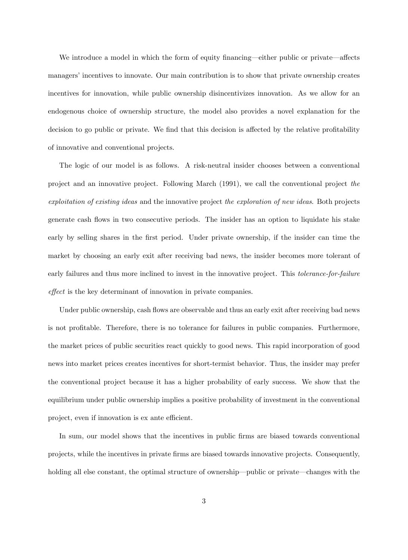We introduce a model in which the form of equity financing—either public or private—affects managers' incentives to innovate. Our main contribution is to show that private ownership creates incentives for innovation, while public ownership disincentivizes innovation. As we allow for an endogenous choice of ownership structure, the model also provides a novel explanation for the decision to go public or private. We find that this decision is affected by the relative profitability of innovative and conventional projects.

The logic of our model is as follows. A risk-neutral insider chooses between a conventional project and an innovative project. Following March (1991), we call the conventional project the exploitation of existing ideas and the innovative project the exploration of new ideas. Both projects generate cash áows in two consecutive periods. The insider has an option to liquidate his stake early by selling shares in the first period. Under private ownership, if the insider can time the market by choosing an early exit after receiving bad news, the insider becomes more tolerant of early failures and thus more inclined to invest in the innovative project. This *tolerance-for-failure* effect is the key determinant of innovation in private companies.

Under public ownership, cash flows are observable and thus an early exit after receiving bad news is not profitable. Therefore, there is no tolerance for failures in public companies. Furthermore, the market prices of public securities react quickly to good news. This rapid incorporation of good news into market prices creates incentives for short-termist behavior. Thus, the insider may prefer the conventional project because it has a higher probability of early success. We show that the equilibrium under public ownership implies a positive probability of investment in the conventional project, even if innovation is ex ante efficient.

In sum, our model shows that the incentives in public firms are biased towards conventional projects, while the incentives in private Örms are biased towards innovative projects. Consequently, holding all else constant, the optimal structure of ownership—public or private—changes with the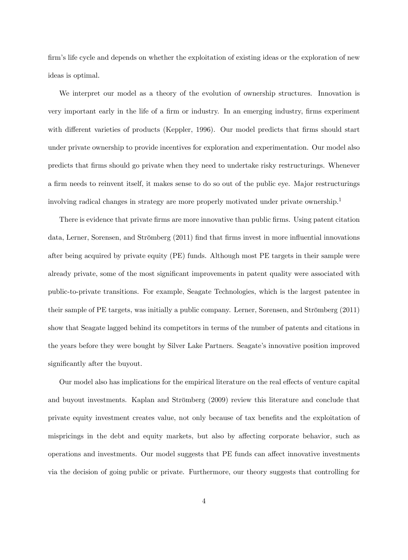firm's life cycle and depends on whether the exploitation of existing ideas or the exploration of new ideas is optimal.

We interpret our model as a theory of the evolution of ownership structures. Innovation is very important early in the life of a firm or industry. In an emerging industry, firms experiment with different varieties of products (Keppler, 1996). Our model predicts that firms should start under private ownership to provide incentives for exploration and experimentation. Our model also predicts that Örms should go private when they need to undertake risky restructurings. Whenever a firm needs to reinvent itself, it makes sense to do so out of the public eye. Major restructurings involving radical changes in strategy are more properly motivated under private ownership.<sup>1</sup>

There is evidence that private firms are more innovative than public firms. Using patent citation data, Lerner, Sorensen, and Strömberg (2011) find that firms invest in more influential innovations after being acquired by private equity (PE) funds. Although most PE targets in their sample were already private, some of the most significant improvements in patent quality were associated with public-to-private transitions. For example, Seagate Technologies, which is the largest patentee in their sample of PE targets, was initially a public company. Lerner, Sorensen, and Strömberg (2011) show that Seagate lagged behind its competitors in terms of the number of patents and citations in the years before they were bought by Silver Lake Partners. Seagate's innovative position improved significantly after the buyout.

Our model also has implications for the empirical literature on the real effects of venture capital and buyout investments. Kaplan and Strömberg (2009) review this literature and conclude that private equity investment creates value, not only because of tax benefits and the exploitation of mispricings in the debt and equity markets, but also by affecting corporate behavior, such as operations and investments. Our model suggests that PE funds can affect innovative investments via the decision of going public or private. Furthermore, our theory suggests that controlling for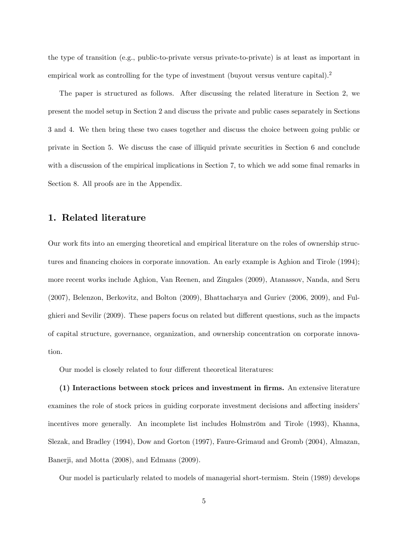the type of transition (e.g., public-to-private versus private-to-private) is at least as important in empirical work as controlling for the type of investment (buyout versus venture capital).<sup>2</sup>

The paper is structured as follows. After discussing the related literature in Section 2, we present the model setup in Section 2 and discuss the private and public cases separately in Sections 3 and 4. We then bring these two cases together and discuss the choice between going public or private in Section 5. We discuss the case of illiquid private securities in Section 6 and conclude with a discussion of the empirical implications in Section 7, to which we add some final remarks in Section 8. All proofs are in the Appendix.

# 1. Related literature

Our work fits into an emerging theoretical and empirical literature on the roles of ownership structures and financing choices in corporate innovation. An early example is Aghion and Tirole (1994); more recent works include Aghion, Van Reenen, and Zingales (2009), Atanassov, Nanda, and Seru (2007), Belenzon, Berkovitz, and Bolton (2009), Bhattacharya and Guriev (2006, 2009), and Fulghieri and Sevilir (2009). These papers focus on related but different questions, such as the impacts of capital structure, governance, organization, and ownership concentration on corporate innovation.

Our model is closely related to four different theoretical literatures:

(1) Interactions between stock prices and investment in Örms. An extensive literature examines the role of stock prices in guiding corporate investment decisions and affecting insiders' incentives more generally. An incomplete list includes Holmström and Tirole (1993), Khanna, Slezak, and Bradley (1994), Dow and Gorton (1997), Faure-Grimaud and Gromb (2004), Almazan, Banerji, and Motta (2008), and Edmans (2009).

Our model is particularly related to models of managerial short-termism. Stein (1989) develops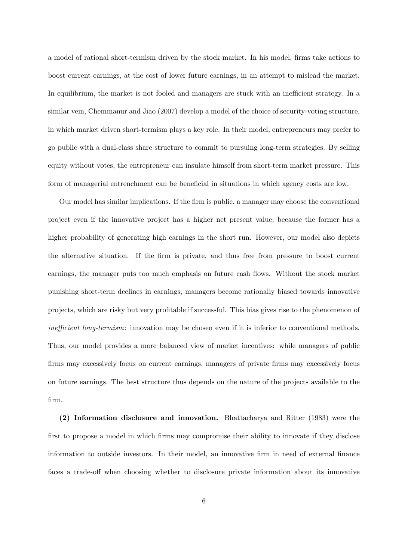a model of rational short-termism driven by the stock market. In his model, firms take actions to boost current earnings, at the cost of lower future earnings, in an attempt to mislead the market. In equilibrium, the market is not fooled and managers are stuck with an inefficient strategy. In a similar vein, Chemmanur and Jiao (2007) develop a model of the choice of security-voting structure, in which market driven short-termism plays a key role. In their model, entrepreneurs may prefer to go public with a dual-class share structure to commit to pursuing long-term strategies. By selling equity without votes, the entrepreneur can insulate himself from short-term market pressure. This form of managerial entrenchment can be beneficial in situations in which agency costs are low.

Our model has similar implications. If the Örm is public, a manager may choose the conventional project even if the innovative project has a higher net present value, because the former has a higher probability of generating high earnings in the short run. However, our model also depicts the alternative situation. If the firm is private, and thus free from pressure to boost current earnings, the manager puts too much emphasis on future cash flows. Without the stock market punishing short-term declines in earnings, managers become rationally biased towards innovative projects, which are risky but very profitable if successful. This bias gives rise to the phenomenon of inefficient long-termism: innovation may be chosen even if it is inferior to conventional methods. Thus, our model provides a more balanced view of market incentives: while managers of public firms may excessively focus on current earnings, managers of private firms may excessively focus on future earnings. The best structure thus depends on the nature of the projects available to the Örm.

(2) Information disclosure and innovation. Bhattacharya and Ritter (1983) were the first to propose a model in which firms may compromise their ability to innovate if they disclose information to outside investors. In their model, an innovative firm in need of external finance faces a trade-off when choosing whether to disclosure private information about its innovative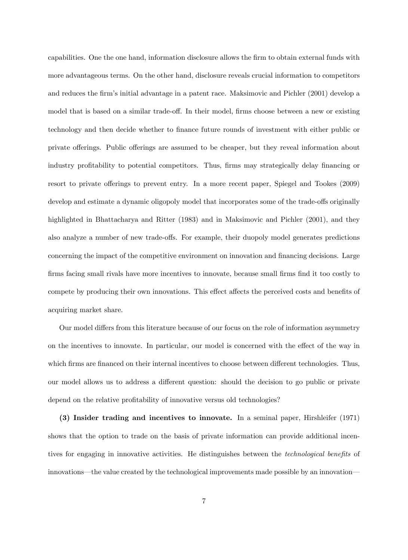capabilities. One the one hand, information disclosure allows the Örm to obtain external funds with more advantageous terms. On the other hand, disclosure reveals crucial information to competitors and reduces the firm's initial advantage in a patent race. Maksimovic and Pichler (2001) develop a model that is based on a similar trade-off. In their model, firms choose between a new or existing technology and then decide whether to finance future rounds of investment with either public or private offerings. Public offerings are assumed to be cheaper, but they reveal information about industry profitability to potential competitors. Thus, firms may strategically delay financing or resort to private offerings to prevent entry. In a more recent paper, Spiegel and Tookes (2009) develop and estimate a dynamic oligopoly model that incorporates some of the trade-offs originally highlighted in Bhattacharya and Ritter (1983) and in Maksimovic and Pichler (2001), and they also analyze a number of new trade-offs. For example, their duopoly model generates predictions concerning the impact of the competitive environment on innovation and financing decisions. Large firms facing small rivals have more incentives to innovate, because small firms find it too costly to compete by producing their own innovations. This effect affects the perceived costs and benefits of acquiring market share.

Our model differs from this literature because of our focus on the role of information asymmetry on the incentives to innovate. In particular, our model is concerned with the effect of the way in which firms are financed on their internal incentives to choose between different technologies. Thus, our model allows us to address a different question: should the decision to go public or private depend on the relative profitability of innovative versus old technologies?

(3) Insider trading and incentives to innovate. In a seminal paper, Hirshleifer (1971) shows that the option to trade on the basis of private information can provide additional incentives for engaging in innovative activities. He distinguishes between the *technological benefits* of innovations—the value created by the technological improvements made possible by an innovation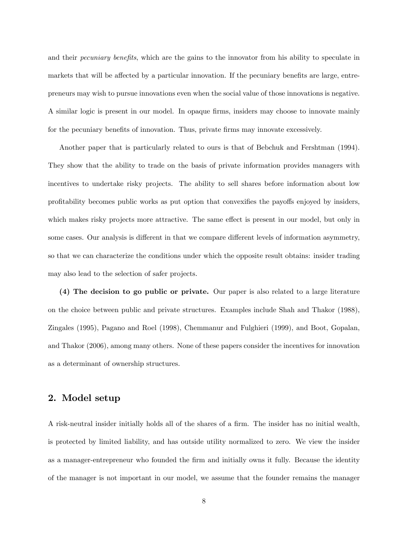and their *pecuniary benefits*, which are the gains to the innovator from his ability to speculate in markets that will be affected by a particular innovation. If the pecuniary benefits are large, entrepreneurs may wish to pursue innovations even when the social value of those innovations is negative. A similar logic is present in our model. In opaque firms, insiders may choose to innovate mainly for the pecuniary benefits of innovation. Thus, private firms may innovate excessively.

Another paper that is particularly related to ours is that of Bebchuk and Fershtman (1994). They show that the ability to trade on the basis of private information provides managers with incentives to undertake risky projects. The ability to sell shares before information about low profitability becomes public works as put option that convexifies the payoffs enjoyed by insiders, which makes risky projects more attractive. The same effect is present in our model, but only in some cases. Our analysis is different in that we compare different levels of information asymmetry, so that we can characterize the conditions under which the opposite result obtains: insider trading may also lead to the selection of safer projects.

(4) The decision to go public or private. Our paper is also related to a large literature on the choice between public and private structures. Examples include Shah and Thakor (1988), Zingales (1995), Pagano and Roel (1998), Chemmanur and Fulghieri (1999), and Boot, Gopalan, and Thakor (2006), among many others. None of these papers consider the incentives for innovation as a determinant of ownership structures.

# 2. Model setup

A risk-neutral insider initially holds all of the shares of a firm. The insider has no initial wealth, is protected by limited liability, and has outside utility normalized to zero. We view the insider as a manager-entrepreneur who founded the firm and initially owns it fully. Because the identity of the manager is not important in our model, we assume that the founder remains the manager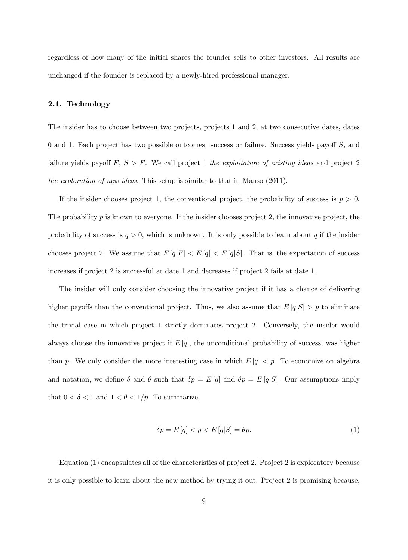regardless of how many of the initial shares the founder sells to other investors. All results are unchanged if the founder is replaced by a newly-hired professional manager.

#### 2.1. Technology

The insider has to choose between two projects, projects 1 and 2, at two consecutive dates, dates 0 and 1. Each project has two possible outcomes: success or failure. Success yields payoff  $S$ , and failure yields payoff  $F, S > F$ . We call project 1 the exploitation of existing ideas and project 2 the exploration of new ideas. This setup is similar to that in Manso (2011).

If the insider chooses project 1, the conventional project, the probability of success is  $p > 0$ . The probability  $p$  is known to everyone. If the insider chooses project 2, the innovative project, the probability of success is  $q > 0$ , which is unknown. It is only possible to learn about q if the insider chooses project 2. We assume that  $E[q|F] < E[q] < E[q|S]$ . That is, the expectation of success increases if project 2 is successful at date 1 and decreases if project 2 fails at date 1.

The insider will only consider choosing the innovative project if it has a chance of delivering higher payoffs than the conventional project. Thus, we also assume that  $E[q|S] > p$  to eliminate the trivial case in which project 1 strictly dominates project 2. Conversely, the insider would always choose the innovative project if  $E[q]$ , the unconditional probability of success, was higher than p. We only consider the more interesting case in which  $E[q] < p$ . To economize on algebra and notation, we define  $\delta$  and  $\theta$  such that  $\delta p = E[q]$  and  $\theta p = E[q|S]$ . Our assumptions imply that  $0 < \delta < 1$  and  $1 < \theta < 1/p$ . To summarize,

$$
\delta p = E\left[q\right] < p < E\left[q|S\right] = \theta p. \tag{1}
$$

Equation (1) encapsulates all of the characteristics of project 2. Project 2 is exploratory because it is only possible to learn about the new method by trying it out. Project 2 is promising because,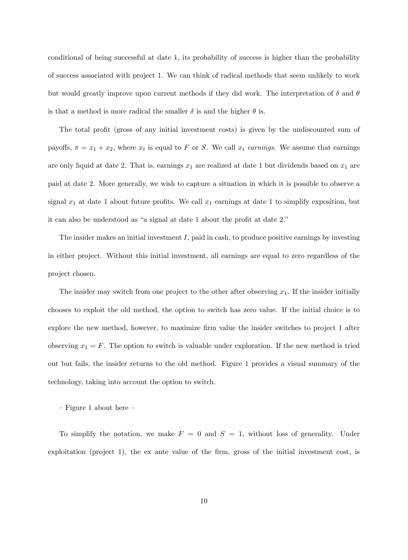conditional of being successful at date 1, its probability of success is higher than the probability of success associated with project 1. We can think of radical methods that seem unlikely to work but would greatly improve upon current methods if they did work. The interpretation of  $\delta$  and  $\theta$ is that a method is more radical the smaller  $\delta$  is and the higher  $\theta$  is.

The total profit (gross of any initial investment costs) is given by the undiscounted sum of payoffs,  $\pi = x_1 + x_2$ , where  $x_t$  is equal to F or S. We call  $x_t$  earnings. We assume that earnings are only liquid at date 2. That is, earnings  $x_1$  are realized at date 1 but dividends based on  $x_1$  are paid at date 2. More generally, we wish to capture a situation in which it is possible to observe a signal  $x_1$  at date 1 about future profits. We call  $x_1$  earnings at date 1 to simplify exposition, but it can also be understood as "a signal at date  $1$  about the profit at date  $2$ ."

The insider makes an initial investment  $I$ , paid in cash, to produce positive earnings by investing in either project. Without this initial investment, all earnings are equal to zero regardless of the project chosen.

The insider may switch from one project to the other after observing  $x_1$ . If the insider initially chooses to exploit the old method, the option to switch has zero value. If the initial choice is to explore the new method, however, to maximize firm value the insider switches to project 1 after observing  $x_1 = F$ . The option to switch is valuable under exploration. If the new method is tried out but fails, the insider returns to the old method. Figure 1 provides a visual summary of the technology, taking into account the option to switch.

#### $-$  Figure 1 about here  $-$

To simplify the notation, we make  $F = 0$  and  $S = 1$ , without loss of generality. Under exploitation (project 1), the ex ante value of the firm, gross of the initial investment cost, is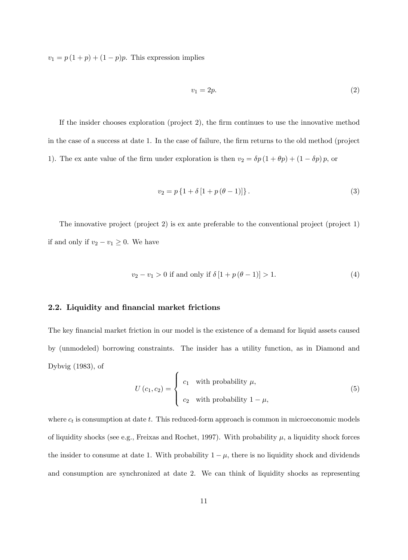$v_1 = p(1+p) + (1-p)p$ . This expression implies

$$
v_1 = 2p.\t\t(2)
$$

If the insider chooses exploration (project 2), the firm continues to use the innovative method in the case of a success at date 1. In the case of failure, the firm returns to the old method (project 1). The ex ante value of the firm under exploration is then  $v_2 = \delta p (1 + \theta p) + (1 - \delta p) p$ , or

$$
v_2 = p\left\{1 + \delta\left[1 + p(\theta - 1)\right]\right\}.
$$
 (3)

The innovative project (project 2) is ex ante preferable to the conventional project (project 1) if and only if  $v_2 - v_1 \geq 0$ . We have

$$
v_2 - v_1 > 0 \text{ if and only if } \delta [1 + p(\theta - 1)] > 1.
$$
 (4)

## 2.2. Liquidity and financial market frictions

The key financial market friction in our model is the existence of a demand for liquid assets caused by (unmodeled) borrowing constraints. The insider has a utility function, as in Diamond and Dybvig (1983), of

$$
U(c_1, c_2) = \begin{cases} c_1 & \text{with probability } \mu, \\ c_2 & \text{with probability } 1 - \mu, \end{cases}
$$
 (5)

where  $c_t$  is consumption at date t. This reduced-form approach is common in microeconomic models of liquidity shocks (see e.g., Freixas and Rochet, 1997). With probability  $\mu$ , a liquidity shock forces the insider to consume at date 1. With probability  $1 - \mu$ , there is no liquidity shock and dividends and consumption are synchronized at date 2. We can think of liquidity shocks as representing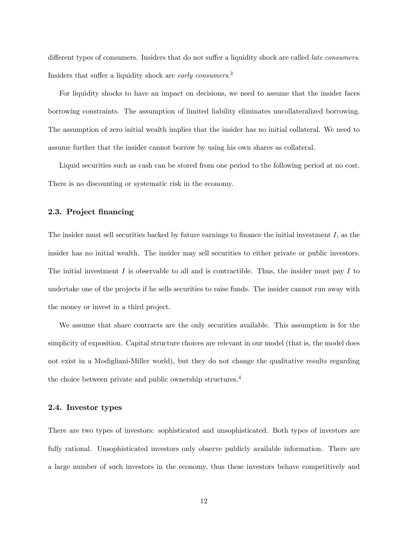different types of consumers. Insiders that do not suffer a liquidity shock are called *late consumers*. Insiders that suffer a liquidity shock are *early consumers*.<sup>3</sup>

For liquidity shocks to have an impact on decisions, we need to assume that the insider faces borrowing constraints. The assumption of limited liability eliminates uncollateralized borrowing. The assumption of zero initial wealth implies that the insider has no initial collateral. We need to assume further that the insider cannot borrow by using his own shares as collateral.

Liquid securities such as cash can be stored from one period to the following period at no cost. There is no discounting or systematic risk in the economy.

### 2.3. Project financing

The insider must sell securities backed by future earnings to finance the initial investment  $I$ , as the insider has no initial wealth. The insider may sell securities to either private or public investors. The initial investment  $I$  is observable to all and is contractible. Thus, the insider must pay  $I$  to undertake one of the projects if he sells securities to raise funds. The insider cannot run away with the money or invest in a third project.

We assume that share contracts are the only securities available. This assumption is for the simplicity of exposition. Capital structure choices are relevant in our model (that is, the model does not exist in a Modigliani-Miller world), but they do not change the qualitative results regarding the choice between private and public ownership structures.<sup>4</sup>

#### 2.4. Investor types

There are two types of investors: sophisticated and unsophisticated. Both types of investors are fully rational. Unsophisticated investors only observe publicly available information. There are a large number of such investors in the economy, thus these investors behave competitively and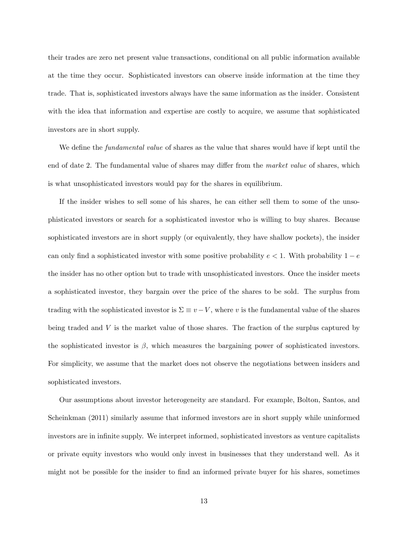their trades are zero net present value transactions, conditional on all public information available at the time they occur. Sophisticated investors can observe inside information at the time they trade. That is, sophisticated investors always have the same information as the insider. Consistent with the idea that information and expertise are costly to acquire, we assume that sophisticated investors are in short supply.

We define the *fundamental value* of shares as the value that shares would have if kept until the end of date 2. The fundamental value of shares may differ from the *market value* of shares, which is what unsophisticated investors would pay for the shares in equilibrium.

If the insider wishes to sell some of his shares, he can either sell them to some of the unsophisticated investors or search for a sophisticated investor who is willing to buy shares. Because sophisticated investors are in short supply (or equivalently, they have shallow pockets), the insider can only find a sophisticated investor with some positive probability  $e < 1$ . With probability  $1 - e$ the insider has no other option but to trade with unsophisticated investors. Once the insider meets a sophisticated investor, they bargain over the price of the shares to be sold. The surplus from trading with the sophisticated investor is  $\Sigma \equiv v - V$ , where v is the fundamental value of the shares being traded and V is the market value of those shares. The fraction of the surplus captured by the sophisticated investor is  $\beta$ , which measures the bargaining power of sophisticated investors. For simplicity, we assume that the market does not observe the negotiations between insiders and sophisticated investors.

Our assumptions about investor heterogeneity are standard. For example, Bolton, Santos, and Scheinkman (2011) similarly assume that informed investors are in short supply while uninformed investors are in infinite supply. We interpret informed, sophisticated investors as venture capitalists or private equity investors who would only invest in businesses that they understand well. As it might not be possible for the insider to find an informed private buyer for his shares, sometimes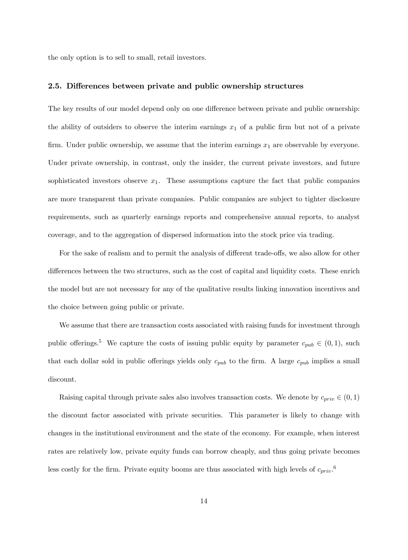the only option is to sell to small, retail investors.

## 2.5. Differences between private and public ownership structures

The key results of our model depend only on one difference between private and public ownership: the ability of outsiders to observe the interim earnings  $x_1$  of a public firm but not of a private firm. Under public ownership, we assume that the interim earnings  $x_1$  are observable by everyone. Under private ownership, in contrast, only the insider, the current private investors, and future sophisticated investors observe  $x_1$ . These assumptions capture the fact that public companies are more transparent than private companies. Public companies are subject to tighter disclosure requirements, such as quarterly earnings reports and comprehensive annual reports, to analyst coverage, and to the aggregation of dispersed information into the stock price via trading.

For the sake of realism and to permit the analysis of different trade-offs, we also allow for other differences between the two structures, such as the cost of capital and liquidity costs. These enrich the model but are not necessary for any of the qualitative results linking innovation incentives and the choice between going public or private.

We assume that there are transaction costs associated with raising funds for investment through public offerings.<sup>5</sup> We capture the costs of issuing public equity by parameter  $c_{pub} \in (0, 1)$ , such that each dollar sold in public offerings yields only  $c_{pub}$  to the firm. A large  $c_{pub}$  implies a small discount.

Raising capital through private sales also involves transaction costs. We denote by  $c_{priv} \in (0, 1)$ the discount factor associated with private securities. This parameter is likely to change with changes in the institutional environment and the state of the economy. For example, when interest rates are relatively low, private equity funds can borrow cheaply, and thus going private becomes less costly for the firm. Private equity booms are thus associated with high levels of  $c_{priv}$ .<sup>6</sup>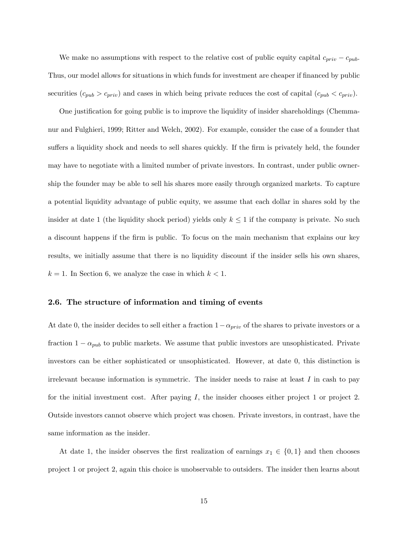We make no assumptions with respect to the relative cost of public equity capital  $c_{priv} - c_{pub}$ . Thus, our model allows for situations in which funds for investment are cheaper if financed by public securities  $(c_{pub} > c_{priv})$  and cases in which being private reduces the cost of capital  $(c_{pub} < c_{priv})$ .

One justification for going public is to improve the liquidity of insider shareholdings (Chemmanur and Fulghieri, 1999; Ritter and Welch, 2002). For example, consider the case of a founder that suffers a liquidity shock and needs to sell shares quickly. If the firm is privately held, the founder may have to negotiate with a limited number of private investors. In contrast, under public ownership the founder may be able to sell his shares more easily through organized markets. To capture a potential liquidity advantage of public equity, we assume that each dollar in shares sold by the insider at date 1 (the liquidity shock period) yields only  $k \leq 1$  if the company is private. No such a discount happens if the firm is public. To focus on the main mechanism that explains our key results, we initially assume that there is no liquidity discount if the insider sells his own shares,  $k = 1$ . In Section 6, we analyze the case in which  $k < 1$ .

## 2.6. The structure of information and timing of events

At date 0, the insider decides to sell either a fraction  $1-\alpha_{priv}$  of the shares to private investors or a fraction  $1 - \alpha_{pub}$  to public markets. We assume that public investors are unsophisticated. Private investors can be either sophisticated or unsophisticated. However, at date 0, this distinction is irrelevant because information is symmetric. The insider needs to raise at least  $I$  in cash to pay for the initial investment cost. After paying  $I$ , the insider chooses either project 1 or project 2. Outside investors cannot observe which project was chosen. Private investors, in contrast, have the same information as the insider.

At date 1, the insider observes the first realization of earnings  $x_1 \in \{0, 1\}$  and then chooses project 1 or project 2, again this choice is unobservable to outsiders. The insider then learns about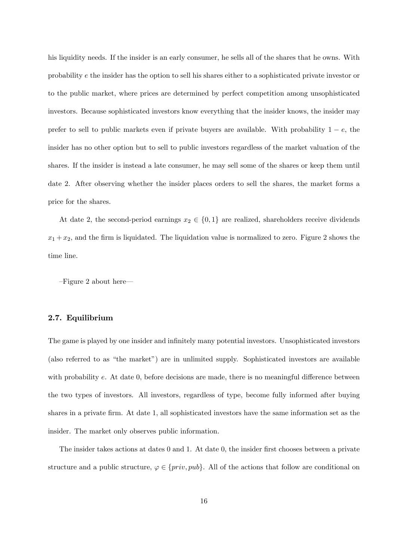his liquidity needs. If the insider is an early consumer, he sells all of the shares that he owns. With probability e the insider has the option to sell his shares either to a sophisticated private investor or to the public market, where prices are determined by perfect competition among unsophisticated investors. Because sophisticated investors know everything that the insider knows, the insider may prefer to sell to public markets even if private buyers are available. With probability  $1 - e$ , the insider has no other option but to sell to public investors regardless of the market valuation of the shares. If the insider is instead a late consumer, he may sell some of the shares or keep them until date 2. After observing whether the insider places orders to sell the shares, the market forms a price for the shares.

At date 2, the second-period earnings  $x_2 \in \{0,1\}$  are realized, shareholders receive dividends  $x_1 + x_2$ , and the firm is liquidated. The liquidation value is normalized to zero. Figure 2 shows the time line.

 $-Figure 2$  about here

## 2.7. Equilibrium

The game is played by one insider and infinitely many potential investors. Unsophisticated investors (also referred to as "the market") are in unlimited supply. Sophisticated investors are available with probability  $e$ . At date 0, before decisions are made, there is no meaningful difference between the two types of investors. All investors, regardless of type, become fully informed after buying shares in a private firm. At date 1, all sophisticated investors have the same information set as the insider. The market only observes public information.

The insider takes actions at dates 0 and 1. At date 0, the insider first chooses between a private structure and a public structure,  $\varphi \in \{priv, pub\}$ . All of the actions that follow are conditional on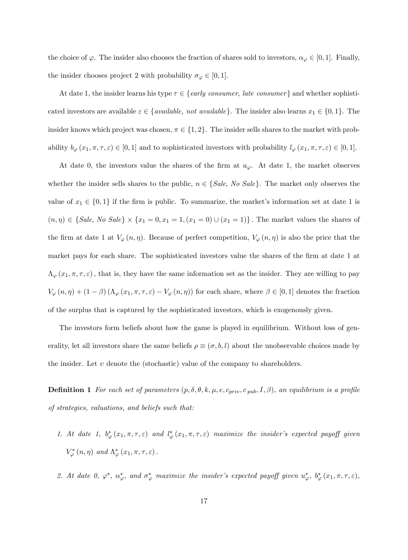the choice of  $\varphi$ . The insider also chooses the fraction of shares sold to investors,  $\alpha_{\varphi} \in [0, 1]$ . Finally, the insider chooses project 2 with probability  $\sigma_{\varphi} \in [0, 1].$ 

At date 1, the insider learns his type  $\tau \in \{early \ consumer, \ late \ consumer\}$  and whether sophisticated investors are available  $\varepsilon \in \{available, not available\}$ . The insider also learns  $x_1 \in \{0, 1\}$ . The insider knows which project was chosen,  $\pi \in \{1, 2\}$ . The insider sells shares to the market with probability  $b_{\varphi}(x_1, \pi, \tau, \varepsilon) \in [0, 1]$  and to sophisticated investors with probability  $l_{\varphi}(x_1, \pi, \tau, \varepsilon) \in [0, 1]$ .

At date 0, the investors value the shares of the firm at  $u_{\varphi}$ . At date 1, the market observes whether the insider sells shares to the public,  $n \in \{Sale, No \ Sale\}$ . The market only observes the value of  $x_1 \in \{0, 1\}$  if the firm is public. To summarize, the market's information set at date 1 is  $(n, \eta) \in \{Sale, No\ Sale\} \times \{x_1 = 0, x_1 = 1, (x_1 = 0) \cup (x_1 = 1)\}.$  The market values the shares of the firm at date 1 at  $V_{\varphi}(n, \eta)$ . Because of perfect competition,  $V_{\varphi}(n, \eta)$  is also the price that the market pays for each share. The sophisticated investors value the shares of the firm at date 1 at  $\Lambda_{\varphi}(x_1,\pi,\tau,\varepsilon)$ , that is, they have the same information set as the insider. They are willing to pay  $V_{\varphi}(n,\eta) + (1-\beta) \left( \Lambda_{\varphi}(x_1,\pi,\tau,\varepsilon) - V_{\varphi}(n,\eta) \right)$  for each share, where  $\beta \in [0,1]$  denotes the fraction of the surplus that is captured by the sophisticated investors, which is exogenously given.

The investors form beliefs about how the game is played in equilibrium. Without loss of generality, let all investors share the same beliefs  $\rho \equiv (\sigma, b, l)$  about the unobservable choices made by the insider. Let  $\nu$  denote the (stochastic) value of the company to shareholders.

**Definition 1** For each set of parameters  $(p, \delta, \theta, k, \mu, e, c_{priv}, c_{pub}, I, \beta)$ , an equilibrium is a profile of strategies, valuations, and beliefs such that:

- 1. At date 1,  $b^*_{\varphi}(x_1,\pi,\tau,\varepsilon)$  and  $l^*_{\varphi}(x_1,\pi,\tau,\varepsilon)$  maximize the insider's expected payoff given  $V^*_{\varphi}(n,\eta)$  and  $\Lambda^*_{\varphi}(x_1,\pi,\tau,\varepsilon)$ .
- 2. At date 0,  $\varphi^*$ ,  $\alpha^*_{\varphi}$ , and  $\sigma^*_{\varphi}$  maximize the insider's expected payoff given  $u^*_{\varphi}$ ,  $b^*_{\varphi}(x_1, \pi, \tau, \varepsilon)$ ,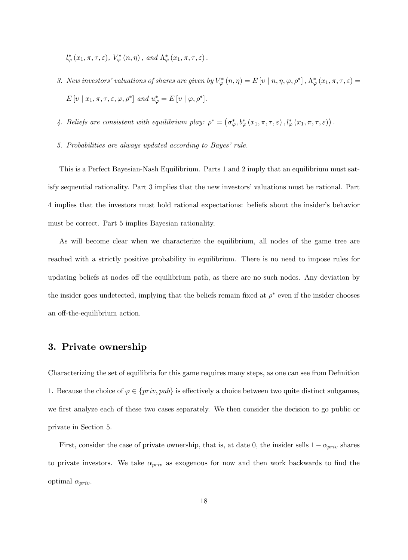$l_{\varphi}^{*}(x_{1},\pi,\tau,\varepsilon), V_{\varphi}^{*}(n,\eta), \text{ and } \Lambda_{\varphi}^{*}(x_{1},\pi,\tau,\varepsilon).$ 

- 3. New investors' valuations of shares are given by  $V^*_{\varphi}(n,\eta)=E[v\mid n,\eta,\varphi,\rho^*]$  ,  $\Lambda^*_{\varphi}(x_1,\pi,\tau,\varepsilon)=$  $E[v \mid x_1, \pi, \tau, \varepsilon, \varphi, \rho^*]$  and  $u_{\varphi}^* = E[v \mid \varphi, \rho^*].$
- 4. Beliefs are consistent with equilibrium play:  $\rho^* = (\sigma^*_{\varphi}, b^*_{\varphi}(x_1, \pi, \tau, \varepsilon), l^*_{\varphi}(x_1, \pi, \tau, \varepsilon))$ .
- 5. Probabilities are always updated according to Bayes' rule.

This is a Perfect Bayesian-Nash Equilibrium. Parts 1 and 2 imply that an equilibrium must satisfy sequential rationality. Part 3 implies that the new investors' valuations must be rational. Part 4 implies that the investors must hold rational expectations: beliefs about the insiderís behavior must be correct. Part 5 implies Bayesian rationality.

As will become clear when we characterize the equilibrium, all nodes of the game tree are reached with a strictly positive probability in equilibrium. There is no need to impose rules for updating beliefs at nodes off the equilibrium path, as there are no such nodes. Any deviation by the insider goes undetected, implying that the beliefs remain fixed at  $\rho^*$  even if the insider chooses an off-the-equilibrium action.

# 3. Private ownership

Characterizing the set of equilibria for this game requires many steps, as one can see from Definition 1. Because the choice of  $\varphi \in \{priv, pub\}$  is effectively a choice between two quite distinct subgames, we first analyze each of these two cases separately. We then consider the decision to go public or private in Section 5.

First, consider the case of private ownership, that is, at date 0, the insider sells  $1 - \alpha_{priv}$  shares to private investors. We take  $\alpha_{priv}$  as exogenous for now and then work backwards to find the optimal  $\alpha_{priv}.$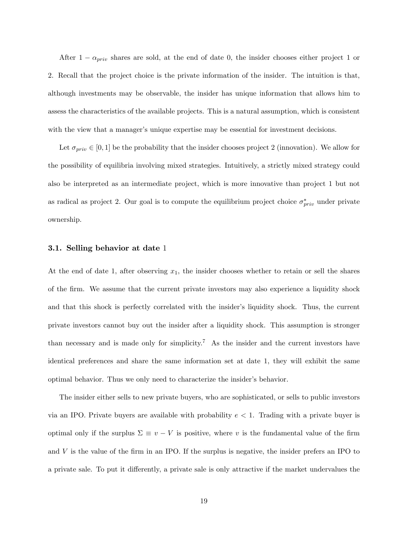After  $1 - \alpha_{priv}$  shares are sold, at the end of date 0, the insider chooses either project 1 or 2. Recall that the project choice is the private information of the insider. The intuition is that, although investments may be observable, the insider has unique information that allows him to assess the characteristics of the available projects. This is a natural assumption, which is consistent with the view that a manager's unique expertise may be essential for investment decisions.

Let  $\sigma_{priv} \in [0, 1]$  be the probability that the insider chooses project 2 (innovation). We allow for the possibility of equilibria involving mixed strategies. Intuitively, a strictly mixed strategy could also be interpreted as an intermediate project, which is more innovative than project 1 but not as radical as project 2. Our goal is to compute the equilibrium project choice  $\sigma_{priv}^{*}$  under private ownership.

#### 3.1. Selling behavior at date 1

At the end of date 1, after observing  $x_1$ , the insider chooses whether to retain or sell the shares of the Örm. We assume that the current private investors may also experience a liquidity shock and that this shock is perfectly correlated with the insider's liquidity shock. Thus, the current private investors cannot buy out the insider after a liquidity shock. This assumption is stronger than necessary and is made only for simplicity.<sup>7</sup> As the insider and the current investors have identical preferences and share the same information set at date 1, they will exhibit the same optimal behavior. Thus we only need to characterize the insider's behavior.

The insider either sells to new private buyers, who are sophisticated, or sells to public investors via an IPO. Private buyers are available with probability  $e < 1$ . Trading with a private buyer is optimal only if the surplus  $\Sigma \equiv v - V$  is positive, where v is the fundamental value of the firm and  $V$  is the value of the firm in an IPO. If the surplus is negative, the insider prefers an IPO to a private sale. To put it differently, a private sale is only attractive if the market undervalues the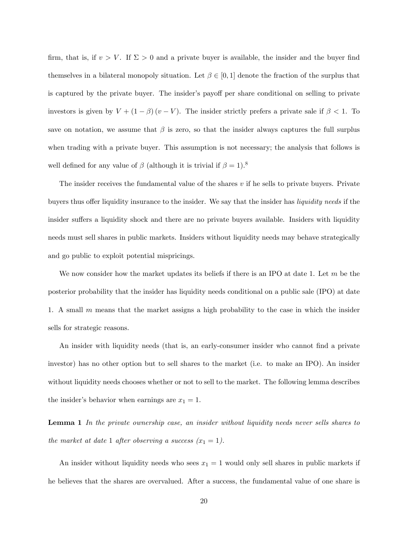firm, that is, if  $v > V$ . If  $\Sigma > 0$  and a private buyer is available, the insider and the buyer find themselves in a bilateral monopoly situation. Let  $\beta \in [0,1]$  denote the fraction of the surplus that is captured by the private buyer. The insider's payoff per share conditional on selling to private investors is given by  $V + (1 - \beta)(v - V)$ . The insider strictly prefers a private sale if  $\beta < 1$ . To save on notation, we assume that  $\beta$  is zero, so that the insider always captures the full surplus when trading with a private buyer. This assumption is not necessary; the analysis that follows is well defined for any value of  $\beta$  (although it is trivial if  $\beta = 1$ ).<sup>8</sup>

The insider receives the fundamental value of the shares  $v$  if he sells to private buyers. Private buyers thus offer liquidity insurance to the insider. We say that the insider has *liquidity needs* if the insider suffers a liquidity shock and there are no private buyers available. Insiders with liquidity needs must sell shares in public markets. Insiders without liquidity needs may behave strategically and go public to exploit potential mispricings.

We now consider how the market updates its beliefs if there is an IPO at date 1. Let  $m$  be the posterior probability that the insider has liquidity needs conditional on a public sale (IPO) at date 1. A small  $m$  means that the market assigns a high probability to the case in which the insider sells for strategic reasons.

An insider with liquidity needs (that is, an early-consumer insider who cannot find a private investor) has no other option but to sell shares to the market (i.e. to make an IPO). An insider without liquidity needs chooses whether or not to sell to the market. The following lemma describes the insider's behavior when earnings are  $x_1 = 1$ .

Lemma 1 In the private ownership case, an insider without liquidity needs never sells shares to the market at date 1 after observing a success  $(x_1 = 1)$ .

An insider without liquidity needs who sees  $x_1 = 1$  would only sell shares in public markets if he believes that the shares are overvalued. After a success, the fundamental value of one share is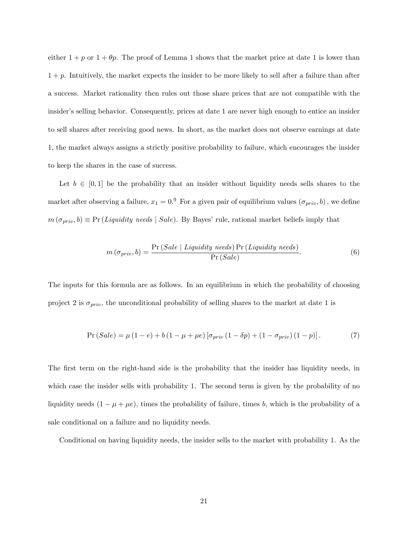either  $1 + p$  or  $1 + \theta p$ . The proof of Lemma 1 shows that the market price at date 1 is lower than  $1 + p$ . Intuitively, the market expects the insider to be more likely to sell after a failure than after a success. Market rationality then rules out those share prices that are not compatible with the insider's selling behavior. Consequently, prices at date 1 are never high enough to entice an insider to sell shares after receiving good news. In short, as the market does not observe earnings at date 1, the market always assigns a strictly positive probability to failure, which encourages the insider to keep the shares in the case of success.

Let  $b \in [0, 1]$  be the probability that an insider without liquidity needs sells shares to the market after observing a failure,  $x_1 = 0.9$  For a given pair of equilibrium values  $(\sigma_{priv}, b)$ , we define  $m(\sigma_{priv}, b) \equiv Pr (Liquidity \ needs \mid Sale)$ . By Bayes' rule, rational market beliefs imply that

$$
m\left(\sigma_{priv},b\right) = \frac{\Pr(Sale \mid Liquidity \ needs) \Pr(Liquidity \ needs)}{\Pr(Sale)}.
$$
\n
$$
(6)
$$

The inputs for this formula are as follows. In an equilibrium in which the probability of choosing project 2 is  $\sigma_{priv}$ , the unconditional probability of selling shares to the market at date 1 is

$$
Pr(Sale) = \mu (1 - e) + b (1 - \mu + \mu e) [\sigma_{priv} (1 - \delta p) + (1 - \sigma_{priv}) (1 - p)].
$$
 (7)

The first term on the right-hand side is the probability that the insider has liquidity needs, in which case the insider sells with probability 1. The second term is given by the probability of no liquidity needs  $(1 - \mu + \mu e)$ , times the probability of failure, times b, which is the probability of a sale conditional on a failure and no liquidity needs.

Conditional on having liquidity needs, the insider sells to the market with probability 1. As the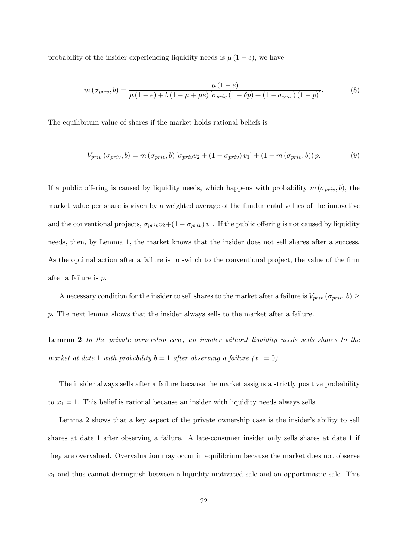probability of the insider experiencing liquidity needs is  $\mu(1-e)$ , we have

$$
m(\sigma_{priv}, b) = \frac{\mu (1 - e)}{\mu (1 - e) + b (1 - \mu + \mu e) [\sigma_{priv}(1 - \delta p) + (1 - \sigma_{priv})(1 - p)]}.
$$
 (8)

The equilibrium value of shares if the market holds rational beliefs is

$$
V_{priv} (\sigma_{priv}, b) = m (\sigma_{priv}, b) [\sigma_{priv} v_2 + (1 - \sigma_{priv}) v_1] + (1 - m (\sigma_{priv}, b)) p. \tag{9}
$$

If a public offering is caused by liquidity needs, which happens with probability  $m(\sigma_{priv}, b)$ , the market value per share is given by a weighted average of the fundamental values of the innovative and the conventional projects,  $\sigma_{priv}v_2+(1 - \sigma_{priv}) v_1$ . If the public offering is not caused by liquidity needs, then, by Lemma 1, the market knows that the insider does not sell shares after a success. As the optimal action after a failure is to switch to the conventional project, the value of the firm after a failure is p.

A necessary condition for the insider to sell shares to the market after a failure is  $V_{priv}(\sigma_{priv}, b) \ge$ p. The next lemma shows that the insider always sells to the market after a failure.

Lemma 2 In the private ownership case, an insider without liquidity needs sells shares to the market at date 1 with probability  $b = 1$  after observing a failure  $(x_1 = 0)$ .

The insider always sells after a failure because the market assigns a strictly positive probability to  $x_1 = 1$ . This belief is rational because an insider with liquidity needs always sells.

Lemma 2 shows that a key aspect of the private ownership case is the insider's ability to sell shares at date 1 after observing a failure. A late-consumer insider only sells shares at date 1 if they are overvalued. Overvaluation may occur in equilibrium because the market does not observe  $x_1$  and thus cannot distinguish between a liquidity-motivated sale and an opportunistic sale. This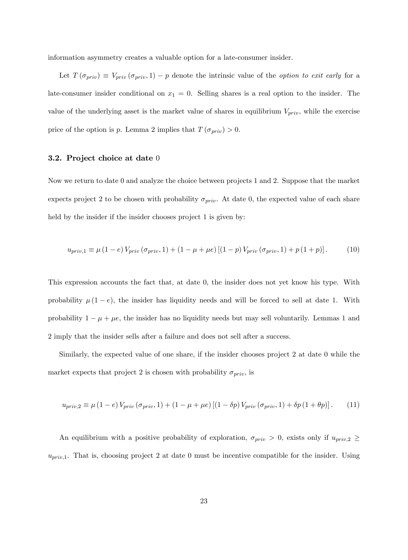information asymmetry creates a valuable option for a late-consumer insider.

Let  $T(\sigma_{priv}) \equiv V_{priv}(\sigma_{priv}, 1) - p$  denote the intrinsic value of the *option to exit early* for a late-consumer insider conditional on  $x_1 = 0$ . Selling shares is a real option to the insider. The value of the underlying asset is the market value of shares in equilibrium  $V_{priv}$ , while the exercise price of the option is p. Lemma 2 implies that  $T(\sigma_{priv}) > 0$ .

## 3.2. Project choice at date 0

Now we return to date 0 and analyze the choice between projects 1 and 2. Suppose that the market expects project 2 to be chosen with probability  $\sigma_{priv}$ . At date 0, the expected value of each share held by the insider if the insider chooses project 1 is given by:

$$
u_{priv,1} \equiv \mu (1-e) V_{priv} (\sigma_{priv,1}) + (1 - \mu + \mu e) [(1 - p) V_{priv} (\sigma_{priv,1}) + p (1 + p)]. \tag{10}
$$

This expression accounts the fact that, at date 0, the insider does not yet know his type. With probability  $\mu(1-e)$ , the insider has liquidity needs and will be forced to sell at date 1. With probability  $1 - \mu + \mu e$ , the insider has no liquidity needs but may sell voluntarily. Lemmas 1 and 2 imply that the insider sells after a failure and does not sell after a success.

Similarly, the expected value of one share, if the insider chooses project 2 at date 0 while the market expects that project 2 is chosen with probability  $\sigma_{priv}$ , is

$$
u_{priv,2} \equiv \mu \left(1 - e\right) V_{priv}\left(\sigma_{priv,1}\right) + \left(1 - \mu + \mu e\right) \left[\left(1 - \delta p\right) V_{priv}\left(\sigma_{priv,1}\right) + \delta p\left(1 + \theta p\right)\right].\tag{11}
$$

An equilibrium with a positive probability of exploration,  $\sigma_{priv} > 0$ , exists only if  $u_{priv,2} \ge$  $u_{priv,1}$ . That is, choosing project 2 at date 0 must be incentive compatible for the insider. Using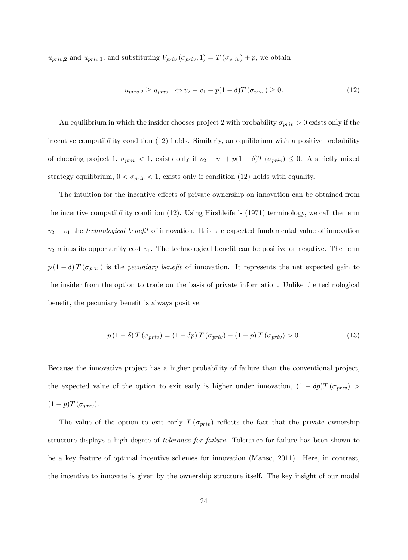$u_{priv,2}$  and  $u_{priv,1}$ , and substituting  $V_{priv}(\sigma_{priv}, 1) = T(\sigma_{priv}) + p$ , we obtain

$$
u_{priv,2} \ge u_{priv,1} \Leftrightarrow v_2 - v_1 + p(1 - \delta)T(\sigma_{priv}) \ge 0.
$$
\n(12)

An equilibrium in which the insider chooses project 2 with probability  $\sigma_{priv} > 0$  exists only if the incentive compatibility condition (12) holds. Similarly, an equilibrium with a positive probability of choosing project 1,  $\sigma_{priv} < 1$ , exists only if  $v_2 - v_1 + p(1 - \delta)T(\sigma_{priv}) \leq 0$ . A strictly mixed strategy equilibrium,  $0 < \sigma_{priv} < 1$ , exists only if condition (12) holds with equality.

The intuition for the incentive effects of private ownership on innovation can be obtained from the incentive compatibility condition (12). Using Hirshleiferís (1971) terminology, we call the term  $v_2 - v_1$  the technological benefit of innovation. It is the expected fundamental value of innovation  $v_2$  minus its opportunity cost  $v_1$ . The technological benefit can be positive or negative. The term  $p(1 - \delta) T(\sigma_{priv})$  is the *pecuniary benefit* of innovation. It represents the net expected gain to the insider from the option to trade on the basis of private information. Unlike the technological benefit, the pecuniary benefit is always positive:

$$
p(1 - \delta) T(\sigma_{priv}) = (1 - \delta p) T(\sigma_{priv}) - (1 - p) T(\sigma_{priv}) > 0.
$$
\n(13)

Because the innovative project has a higher probability of failure than the conventional project, the expected value of the option to exit early is higher under innovation,  $(1 - \delta p)T(\sigma_{priv})$  $(1-p)T(\sigma_{priv}).$ 

The value of the option to exit early  $T(\sigma_{priv})$  reflects the fact that the private ownership structure displays a high degree of tolerance for failure. Tolerance for failure has been shown to be a key feature of optimal incentive schemes for innovation (Manso, 2011). Here, in contrast, the incentive to innovate is given by the ownership structure itself. The key insight of our model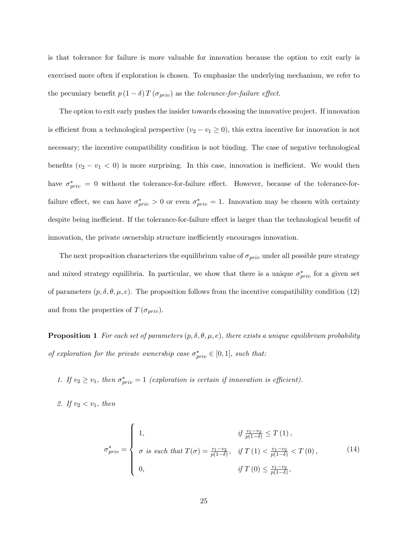is that tolerance for failure is more valuable for innovation because the option to exit early is exercised more often if exploration is chosen. To emphasize the underlying mechanism, we refer to the pecuniary benefit  $p(1 - \delta) T(\sigma_{priv})$  as the *tolerance-for-failure effect*.

The option to exit early pushes the insider towards choosing the innovative project. If innovation is efficient from a technological perspective  $(v_2 - v_1 \ge 0)$ , this extra incentive for innovation is not necessary; the incentive compatibility condition is not binding. The case of negative technological benefits  $(v_2 - v_1 < 0)$  is more surprising. In this case, innovation is inefficient. We would then have  $\sigma_{priv}^* = 0$  without the tolerance-for-failure effect. However, because of the tolerance-forfailure effect, we can have  $\sigma_{priv}^* > 0$  or even  $\sigma_{priv}^* = 1$ . Innovation may be chosen with certainty despite being inefficient. If the tolerance-for-failure effect is larger than the technological benefit of innovation, the private ownership structure inefficiently encourages innovation.

The next proposition characterizes the equilibrium value of  $\sigma_{priv}$  under all possible pure strategy and mixed strategy equilibria. In particular, we show that there is a unique  $\sigma_{priv}^*$  for a given set of parameters  $(p, \delta, \theta, \mu, e)$ . The proposition follows from the incentive compatibility condition (12) and from the properties of  $T(\sigma_{priv})$ .

**Proposition 1** For each set of parameters  $(p, \delta, \theta, \mu, e)$ , there exists a unique equilibrium probability of exploration for the private ownership case  $\sigma_{priv}^* \in [0,1]$ , such that:

- 1. If  $v_2 \ge v_1$ , then  $\sigma_{priv}^* = 1$  (exploration is certain if innovation is efficient).
- 2. If  $v_2 < v_1$ , then

$$
\sigma_{priv}^{*} = \begin{cases}\n1, & \text{if } \frac{v_1 - v_2}{p(1 - \delta)} \le T(1), \\
\sigma \text{ is such that } T(\sigma) = \frac{v_1 - v_2}{p(1 - \delta)}, & \text{if } T(1) < \frac{v_1 - v_2}{p(1 - \delta)} < T(0), \\
0, & \text{if } T(0) \le \frac{v_1 - v_2}{p(1 - \delta)},\n\end{cases} \tag{14}
$$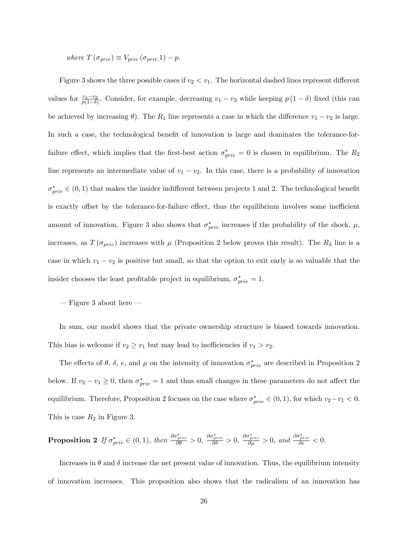where  $T(\sigma_{priv}) \equiv V_{priv}(\sigma_{priv}.1) - p.$ 

Figure 3 shows the three possible cases if  $v_2 < v_1$ . The horizontal dashed lines represent different values for  $\frac{v_1-v_2}{p(1-\delta)}$ . Consider, for example, decreasing  $v_1-v_2$  while keeping  $p(1-\delta)$  fixed (this can be achieved by increasing  $\theta$ ). The  $R_1$  line represents a case in which the difference  $v_1 - v_2$  is large. In such a case, the technological benefit of innovation is large and dominates the tolerance-forfailure effect, which implies that the first-best action  $\sigma_{priv}^* = 0$  is chosen in equilibrium. The  $R_2$ line represents an intermediate value of  $v_1 - v_2$ . In this case, there is a probability of innovation  $\sigma_{priv}^* \in (0, 1)$  that makes the insider indifferent between projects 1 and 2. The technological benefit is exactly offset by the tolerance-for-failure effect, thus the equilibrium involves some inefficient amount of innovation. Figure 3 also shows that  $\sigma_{priv}^{*}$  increases if the probability of the shock,  $\mu$ , increases, as  $T(\sigma_{priv})$  increases with  $\mu$  (Proposition 2 below proves this result). The R<sub>3</sub> line is a case in which  $v_1 - v_2$  is positive but small, so that the option to exit early is so valuable that the insider chooses the least profitable project in equilibrium,  $\sigma_{priv}^{*} = 1$ .

 $-$  Figure 3 about here  $-$ 

In sum, our model shows that the private ownership structure is biased towards innovation. This bias is welcome if  $v_2 \ge v_1$  but may lead to inefficiencies if  $v_1 > v_2$ .

The effects of  $\theta$ ,  $\delta$ ,  $e$ , and  $\mu$  on the intensity of innovation  $\sigma_{priv}^*$  are described in Proposition 2 below. If  $v_2 - v_1 \ge 0$ , then  $\sigma_{priv}^* = 1$  and thus small changes in these parameters do not affect the equilibrium. Therefore, Proposition 2 focuses on the case where  $\sigma_{priv}^* \in (0, 1)$ , for which  $v_2 - v_1 < 0$ . This is case  $R_2$  in Figure 3.

**Proposition 2** If  $\sigma_{priv}^* \in (0,1)$ , then  $\frac{\partial \sigma_{priv}^*}{\partial \theta} > 0$ ,  $\frac{\partial \sigma_{priv}^*}{\partial \delta} > 0$ ,  $\frac{\partial \sigma_{priv}^*}{\partial \mu} > 0$ , and  $\frac{\partial \sigma_{priv}^*}{\partial e} < 0$ .

Increases in  $\theta$  and  $\delta$  increase the net present value of innovation. Thus, the equilibrium intensity of innovation increases. This proposition also shows that the radicalism of an innovation has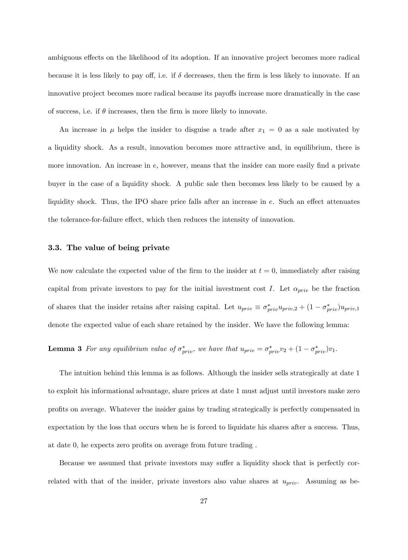ambiguous effects on the likelihood of its adoption. If an innovative project becomes more radical because it is less likely to pay off, i.e. if  $\delta$  decreases, then the firm is less likely to innovate. If an innovative project becomes more radical because its payoffs increase more dramatically in the case of success, i.e. if  $\theta$  increases, then the firm is more likely to innovate.

An increase in  $\mu$  helps the insider to disguise a trade after  $x_1 = 0$  as a sale motivated by a liquidity shock. As a result, innovation becomes more attractive and, in equilibrium, there is more innovation. An increase in  $e$ , however, means that the insider can more easily find a private buyer in the case of a liquidity shock. A public sale then becomes less likely to be caused by a liquidity shock. Thus, the IPO share price falls after an increase in  $e$ . Such an effect attenuates the tolerance-for-failure effect, which then reduces the intensity of innovation.

### 3.3. The value of being private

We now calculate the expected value of the firm to the insider at  $t = 0$ , immediately after raising capital from private investors to pay for the initial investment cost I. Let  $\alpha_{priv}$  be the fraction of shares that the insider retains after raising capital. Let  $u_{priv} \equiv \sigma_{priv}^* u_{priv,2} + (1 - \sigma_{priv}^* u_{priv,1})$ denote the expected value of each share retained by the insider. We have the following lemma:

**Lemma 3** For any equilibrium value of  $\sigma_{priv}^*$ , we have that  $u_{priv} = \sigma_{priv}^* v_2 + (1 - \sigma_{priv}^*) v_1$ .

The intuition behind this lemma is as follows. Although the insider sells strategically at date 1 to exploit his informational advantage, share prices at date 1 must adjust until investors make zero profits on average. Whatever the insider gains by trading strategically is perfectly compensated in expectation by the loss that occurs when he is forced to liquidate his shares after a success. Thus, at date 0, he expects zero profits on average from future trading.

Because we assumed that private investors may suffer a liquidity shock that is perfectly correlated with that of the insider, private investors also value shares at  $u_{priv}$ . Assuming as be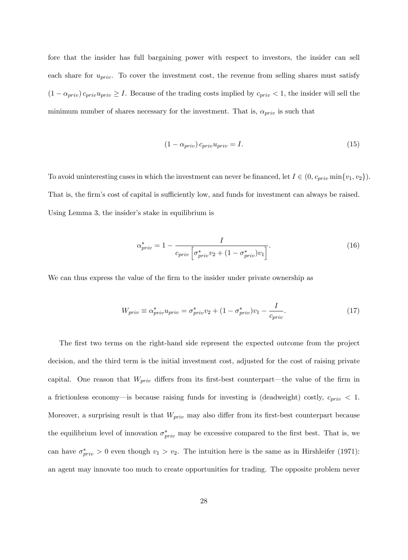fore that the insider has full bargaining power with respect to investors, the insider can sell each share for  $u_{priv}$ . To cover the investment cost, the revenue from selling shares must satisfy  $(1 - \alpha_{priv}) c_{priv}u_{priv} \geq I$ . Because of the trading costs implied by  $c_{priv} < 1$ , the insider will sell the minimum number of shares necessary for the investment. That is,  $\alpha_{priv}$  is such that

$$
(1 - \alpha_{priv}) c_{priv} u_{priv} = I.
$$
\n(15)

To avoid uninteresting cases in which the investment can never be financed, let  $I \in (0, c_{priv} \min\{v_1, v_2\}).$ That is, the firm's cost of capital is sufficiently low, and funds for investment can always be raised. Using Lemma 3, the insider's stake in equilibrium is

$$
\alpha_{priv}^* = 1 - \frac{I}{c_{priv} \left[ \sigma_{priv}^* v_2 + (1 - \sigma_{priv}^*) v_1 \right]}.
$$
\n(16)

We can thus express the value of the firm to the insider under private ownership as

$$
W_{priv} \equiv \alpha_{priv}^* u_{priv} = \sigma_{priv}^* v_2 + (1 - \sigma_{priv}^*) v_1 - \frac{I}{c_{priv}}.
$$
\n(17)

The first two terms on the right-hand side represent the expected outcome from the project decision, and the third term is the initial investment cost, adjusted for the cost of raising private capital. One reason that  $W_{priv}$  differs from its first-best counterpart—the value of the firm in a frictionless economy- is because raising funds for investing is (deadweight) costly,  $c_{priv} < 1$ . Moreover, a surprising result is that  $W_{priv}$  may also differ from its first-best counterpart because the equilibrium level of innovation  $\sigma_{priv}^{*}$  may be excessive compared to the first best. That is, we can have  $\sigma_{priv}^* > 0$  even though  $v_1 > v_2$ . The intuition here is the same as in Hirshleifer (1971): an agent may innovate too much to create opportunities for trading. The opposite problem never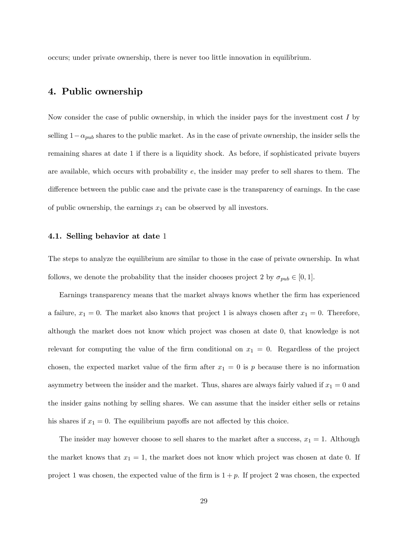occurs; under private ownership, there is never too little innovation in equilibrium.

# 4. Public ownership

Now consider the case of public ownership, in which the insider pays for the investment cost  $I$  by selling  $1-\alpha_{pub}$  shares to the public market. As in the case of private ownership, the insider sells the remaining shares at date 1 if there is a liquidity shock. As before, if sophisticated private buyers are available, which occurs with probability  $e$ , the insider may prefer to sell shares to them. The difference between the public case and the private case is the transparency of earnings. In the case of public ownership, the earnings  $x_1$  can be observed by all investors.

## 4.1. Selling behavior at date 1

The steps to analyze the equilibrium are similar to those in the case of private ownership. In what follows, we denote the probability that the insider chooses project 2 by  $\sigma_{pub} \in [0, 1]$ .

Earnings transparency means that the market always knows whether the Örm has experienced a failure,  $x_1 = 0$ . The market also knows that project 1 is always chosen after  $x_1 = 0$ . Therefore, although the market does not know which project was chosen at date 0, that knowledge is not relevant for computing the value of the firm conditional on  $x_1 = 0$ . Regardless of the project chosen, the expected market value of the firm after  $x_1 = 0$  is p because there is no information asymmetry between the insider and the market. Thus, shares are always fairly valued if  $x_1 = 0$  and the insider gains nothing by selling shares. We can assume that the insider either sells or retains his shares if  $x_1 = 0$ . The equilibrium payoffs are not affected by this choice.

The insider may however choose to sell shares to the market after a success,  $x_1 = 1$ . Although the market knows that  $x_1 = 1$ , the market does not know which project was chosen at date 0. If project 1 was chosen, the expected value of the firm is  $1 + p$ . If project 2 was chosen, the expected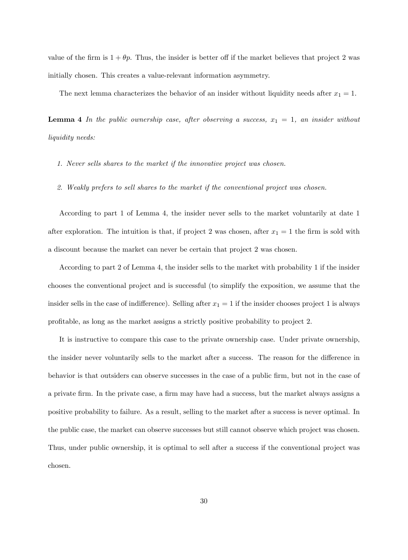value of the firm is  $1 + \theta p$ . Thus, the insider is better off if the market believes that project 2 was initially chosen. This creates a value-relevant information asymmetry.

The next lemma characterizes the behavior of an insider without liquidity needs after  $x_1 = 1$ .

**Lemma 4** In the public ownership case, after observing a success,  $x_1 = 1$ , an insider without liquidity needs:

- 1. Never sells shares to the market if the innovative project was chosen.
- 2. Weakly prefers to sell shares to the market if the conventional project was chosen.

According to part 1 of Lemma 4, the insider never sells to the market voluntarily at date 1 after exploration. The intuition is that, if project 2 was chosen, after  $x_1 = 1$  the firm is sold with a discount because the market can never be certain that project 2 was chosen.

According to part 2 of Lemma 4, the insider sells to the market with probability 1 if the insider chooses the conventional project and is successful (to simplify the exposition, we assume that the insider sells in the case of indifference). Selling after  $x_1 = 1$  if the insider chooses project 1 is always profitable, as long as the market assigns a strictly positive probability to project 2.

It is instructive to compare this case to the private ownership case. Under private ownership, the insider never voluntarily sells to the market after a success. The reason for the difference in behavior is that outsiders can observe successes in the case of a public firm, but not in the case of a private firm. In the private case, a firm may have had a success, but the market always assigns a positive probability to failure. As a result, selling to the market after a success is never optimal. In the public case, the market can observe successes but still cannot observe which project was chosen. Thus, under public ownership, it is optimal to sell after a success if the conventional project was chosen.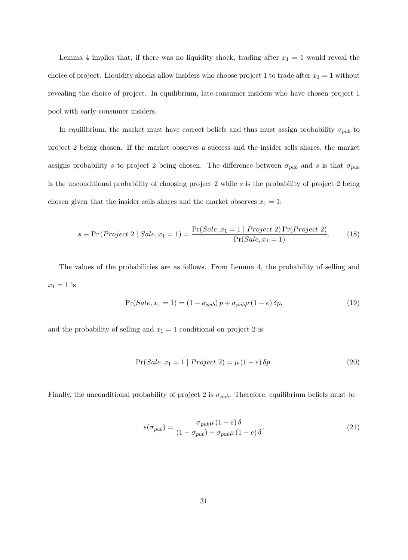Lemma 4 implies that, if there was no liquidity shock, trading after  $x_1 = 1$  would reveal the choice of project. Liquidity shocks allow insiders who choose project 1 to trade after  $x_1 = 1$  without revealing the choice of project. In equilibrium, late-consumer insiders who have chosen project 1 pool with early-consumer insiders.

In equilibrium, the market must have correct beliefs and thus must assign probability  $\sigma_{pub}$  to project 2 being chosen. If the market observes a success and the insider sells shares, the market assigns probability s to project 2 being chosen. The difference between  $\sigma_{pub}$  and s is that  $\sigma_{pub}$ is the unconditional probability of choosing project 2 while s is the probability of project 2 being chosen given that the insider sells shares and the market observes  $x_1 = 1$ :

$$
s \equiv \Pr\left(Project \ 2 \ | \ Sale, x_1 = 1\right) = \frac{\Pr(Sale, x_1 = 1 \ | \ Project \ 2) \Pr(Project \ 2)}{\Pr(Sale, x_1 = 1)}.\tag{18}
$$

The values of the probabilities are as follows. From Lemma 4, the probability of selling and  $x_1 = 1$  is

$$
Pr(Sale, x_1 = 1) = (1 - \sigma_{pub}) p + \sigma_{pub} \mu (1 - e) \delta p, \qquad (19)
$$

and the probability of selling and  $x_1 = 1$  conditional on project 2 is

$$
Pr(Sale, x_1 = 1 | Project 2) = \mu (1 - e) \delta p.
$$
\n(20)

Finally, the unconditional probability of project 2 is  $\sigma_{pub}$ . Therefore, equilibrium beliefs must be

$$
s(\sigma_{pub}) = \frac{\sigma_{pub}\mu (1 - e)\delta}{(1 - \sigma_{pub}) + \sigma_{pub}\mu (1 - e)\delta}.
$$
\n(21)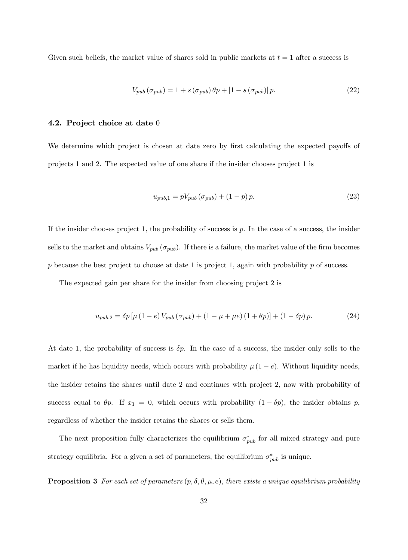Given such beliefs, the market value of shares sold in public markets at  $t = 1$  after a success is

$$
V_{pub}(\sigma_{pub}) = 1 + s(\sigma_{pub}) \theta p + [1 - s(\sigma_{pub})] p.
$$
\n(22)

#### 4.2. Project choice at date 0

We determine which project is chosen at date zero by first calculating the expected payoffs of projects 1 and 2. The expected value of one share if the insider chooses project 1 is

$$
u_{pub,1} = pV_{pub} (\sigma_{pub}) + (1 - p) p.
$$
 (23)

If the insider chooses project 1, the probability of success is  $p$ . In the case of a success, the insider sells to the market and obtains  $V_{pub}(\sigma_{pub})$ . If there is a failure, the market value of the firm becomes p because the best project to choose at date 1 is project 1, again with probability  $p$  of success.

The expected gain per share for the insider from choosing project 2 is

$$
u_{pub,2} = \delta p \left[ \mu \left( 1 - e \right) V_{pub} \left( \sigma_{pub} \right) + \left( 1 - \mu + \mu e \right) \left( 1 + \theta p \right) \right] + \left( 1 - \delta p \right) p. \tag{24}
$$

At date 1, the probability of success is  $\delta p$ . In the case of a success, the insider only sells to the market if he has liquidity needs, which occurs with probability  $\mu(1-e)$ . Without liquidity needs, the insider retains the shares until date 2 and continues with project 2, now with probability of success equal to  $\theta p$ . If  $x_1 = 0$ , which occurs with probability  $(1 - \delta p)$ , the insider obtains p, regardless of whether the insider retains the shares or sells them.

The next proposition fully characterizes the equilibrium  $\sigma_{pub}^*$  for all mixed strategy and pure strategy equilibria. For a given a set of parameters, the equilibrium  $\sigma_{pub}^{*}$  is unique.

**Proposition 3** For each set of parameters  $(p, \delta, \theta, \mu, e)$ , there exists a unique equilibrium probability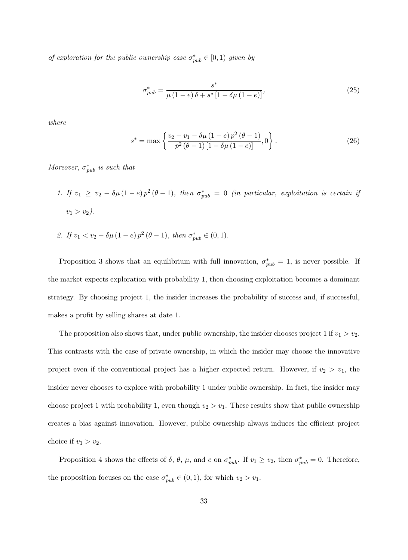of exploration for the public ownership case  $\sigma_{pub}^* \in [0,1)$  given by

$$
\sigma_{pub}^{*} = \frac{s^{*}}{\mu(1-e)\,\delta + s^{*}\left[1-\delta\mu\,(1-e)\right]},
$$
\n(25)

where

$$
s^* = \max\left\{\frac{v_2 - v_1 - \delta\mu\left(1 - e\right)p^2\left(\theta - 1\right)}{p^2\left(\theta - 1\right)\left[1 - \delta\mu\left(1 - e\right)\right]}, 0\right\}.
$$
\n(26)

Moreover,  $\sigma_{pub}^*$  is such that

- 1. If  $v_1 \ge v_2 \delta \mu (1-e) p^2 (\theta 1)$ , then  $\sigma_{pub}^* = 0$  (in particular, exploitation is certain if  $v_1 > v_2$ ).
- 2. If  $v_1 < v_2 \delta \mu (1 e) p^2 (\theta 1)$ , then  $\sigma_{pub}^* \in (0, 1)$ .

Proposition 3 shows that an equilibrium with full innovation,  $\sigma_{pub}^* = 1$ , is never possible. If the market expects exploration with probability 1, then choosing exploitation becomes a dominant strategy. By choosing project 1, the insider increases the probability of success and, if successful, makes a profit by selling shares at date 1.

The proposition also shows that, under public ownership, the insider chooses project 1 if  $v_1 > v_2$ . This contrasts with the case of private ownership, in which the insider may choose the innovative project even if the conventional project has a higher expected return. However, if  $v_2 > v_1$ , the insider never chooses to explore with probability 1 under public ownership. In fact, the insider may choose project 1 with probability 1, even though  $v_2 > v_1$ . These results show that public ownership creates a bias against innovation. However, public ownership always induces the efficient project choice if  $v_1 > v_2$ .

Proposition 4 shows the effects of  $\delta$ ,  $\theta$ ,  $\mu$ , and  $e$  on  $\sigma_{pub}^*$ . If  $v_1 \ge v_2$ , then  $\sigma_{pub}^* = 0$ . Therefore, the proposition focuses on the case  $\sigma_{pub}^* \in (0, 1)$ , for which  $v_2 > v_1$ .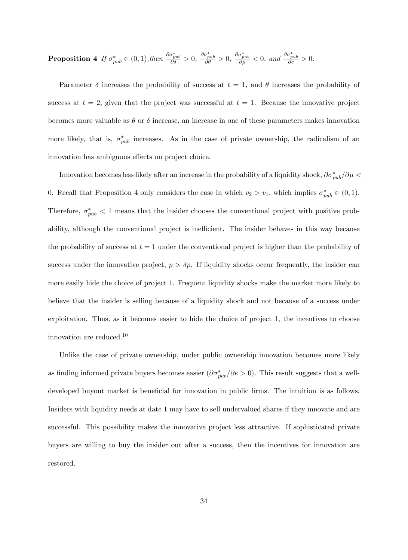**Proposition 4** If  $\sigma_{pub}^* \in (0, 1)$ , then  $\frac{\partial \sigma_{pub}^*}{\partial \delta} > 0$ ,  $\frac{\partial \sigma_{pub}^*}{\partial \theta} > 0$ ,  $\frac{\partial \sigma_{pub}^*}{\partial \mu} < 0$ , and  $\frac{\partial \sigma_{pub}^*}{\partial e} > 0$ .

Parameter  $\delta$  increases the probability of success at  $t = 1$ , and  $\theta$  increases the probability of success at  $t = 2$ , given that the project was successful at  $t = 1$ . Because the innovative project becomes more valuable as  $\theta$  or  $\delta$  increase, an increase in one of these parameters makes innovation more likely, that is,  $\sigma_{pub}^*$  increases. As in the case of private ownership, the radicalism of an innovation has ambiguous effects on project choice.

Innovation becomes less likely after an increase in the probability of a liquidity shock,  $\partial\sigma^*_{pub}/\partial\mu$  < 0. Recall that Proposition 4 only considers the case in which  $v_2 > v_1$ , which implies  $\sigma_{pub}^* \in (0,1)$ . Therefore,  $\sigma_{pub}^* < 1$  means that the insider chooses the conventional project with positive probability, although the conventional project is inefficient. The insider behaves in this way because the probability of success at  $t = 1$  under the conventional project is higher than the probability of success under the innovative project,  $p > \delta p$ . If liquidity shocks occur frequently, the insider can more easily hide the choice of project 1. Frequent liquidity shocks make the market more likely to believe that the insider is selling because of a liquidity shock and not because of a success under exploitation. Thus, as it becomes easier to hide the choice of project 1, the incentives to choose innovation are reduced.<sup>10</sup>

Unlike the case of private ownership, under public ownership innovation becomes more likely as finding informed private buyers becomes easier  $(\partial \sigma_{pub}^*/\partial e > 0)$ . This result suggests that a welldeveloped buyout market is beneficial for innovation in public firms. The intuition is as follows. Insiders with liquidity needs at date 1 may have to sell undervalued shares if they innovate and are successful. This possibility makes the innovative project less attractive. If sophisticated private buyers are willing to buy the insider out after a success, then the incentives for innovation are restored.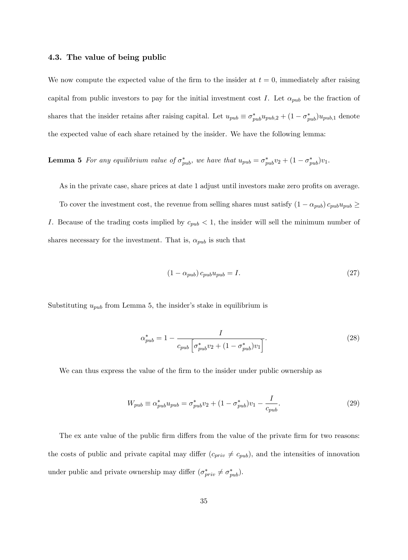#### 4.3. The value of being public

We now compute the expected value of the firm to the insider at  $t = 0$ , immediately after raising capital from public investors to pay for the initial investment cost I. Let  $\alpha_{pub}$  be the fraction of shares that the insider retains after raising capital. Let  $u_{pub} \equiv \sigma_{pub}^* u_{pub,2} + (1 - \sigma_{pub}^*) u_{pub,1}$  denote the expected value of each share retained by the insider. We have the following lemma:

**Lemma 5** For any equilibrium value of  $\sigma_{pub}^*$ , we have that  $u_{pub} = \sigma_{pub}^* v_2 + (1 - \sigma_{pub}^*) v_1$ .

As in the private case, share prices at date 1 adjust until investors make zero profits on average. To cover the investment cost, the revenue from selling shares must satisfy  $(1 - \alpha_{pub}) c_{pub} u_{pub} \ge$ I. Because of the trading costs implied by  $c_{pub} < 1$ , the insider will sell the minimum number of shares necessary for the investment. That is,  $\alpha_{pub}$  is such that

$$
(1 - \alpha_{pub}) c_{pub} u_{pub} = I.
$$
\n(27)

Substituting  $u_{pub}$  from Lemma 5, the insider's stake in equilibrium is

$$
\alpha_{pub}^{*} = 1 - \frac{I}{c_{pub} \left[ \sigma_{pub}^{*} v_{2} + (1 - \sigma_{pub}^{*}) v_{1} \right]}.
$$
\n(28)

We can thus express the value of the firm to the insider under public ownership as

$$
W_{pub} \equiv \alpha_{pub}^* u_{pub} = \sigma_{pub}^* v_2 + (1 - \sigma_{pub}^*) v_1 - \frac{I}{c_{pub}}.
$$
\n(29)

The ex ante value of the public firm differs from the value of the private firm for two reasons: the costs of public and private capital may differ  $(c_{priv} \neq c_{pub})$ , and the intensities of innovation under public and private ownership may differ  $(\sigma_{priv}^* \neq \sigma_{pub}^*)$ .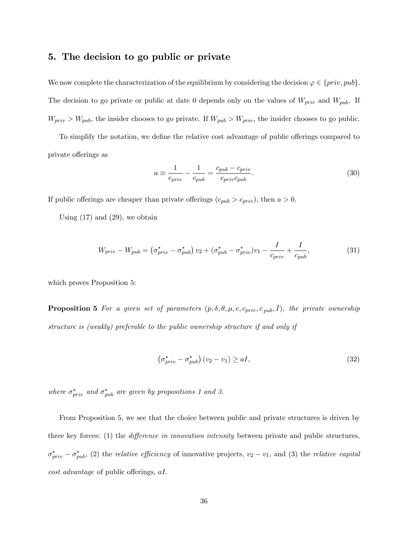# 5. The decision to go public or private

We now complete the characterization of the equilibrium by considering the decision  $\varphi \in \{priv, pub\}.$ The decision to go private or public at date 0 depends only on the values of  $W_{priv}$  and  $W_{pub}$ . If  $W_{priv} > W_{pub}$ , the insider chooses to go private. If  $W_{pub} > W_{priv}$ , the insider chooses to go public.

To simplify the notation, we define the relative cost advantage of public offerings compared to private offerings as

$$
a \equiv \frac{1}{c_{priv}} - \frac{1}{c_{pub}} = \frac{c_{pub} - c_{priv}}{c_{priv}c_{pub}}.
$$
\n(30)

If public offerings are cheaper than private offerings  $(c_{pub} > c_{priv})$ , then  $a > 0$ .

Using  $(17)$  and  $(29)$ , we obtain

$$
W_{priv} - W_{pub} = (\sigma_{priv}^* - \sigma_{pub}^*) v_2 + (\sigma_{pub}^* - \sigma_{priv}^*) v_1 - \frac{I}{c_{priv}} + \frac{I}{c_{pub}},
$$
\n(31)

which proves Proposition 5:

**Proposition 5** For a given set of parameters  $(p, \delta, \theta, \mu, e, c_{priv}, c_{pub}, I)$ , the private ownership structure is (weakly) preferable to the public ownership structure if and only if

$$
\left(\sigma_{priv}^{*} - \sigma_{pub}^{*}\right)\left(v_{2} - v_{1}\right) \ge aI,\tag{32}
$$

where  $\sigma_{priv}^{*}$  and  $\sigma_{pub}^{*}$  are given by propositions 1 and 3.

From Proposition 5, we see that the choice between public and private structures is driven by three key forces:  $(1)$  the *difference in innovation intensity* between private and public structures,  $\sigma_{priv}^{*} - \sigma_{pub}^{*}$ , (2) the *relative efficiency* of innovative projects,  $v_2 - v_1$ , and (3) the *relative capital*  $cost$  advantage of public offerings,  $aI$ .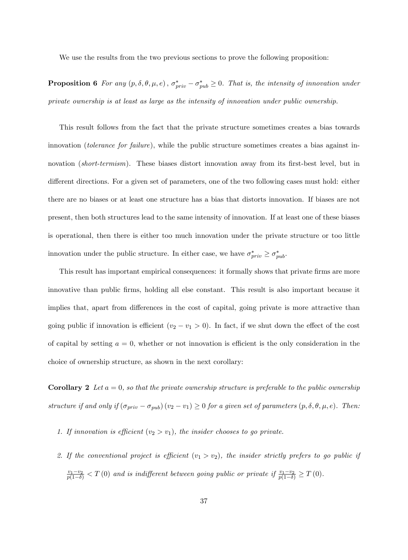We use the results from the two previous sections to prove the following proposition:

**Proposition 6** For any  $(p, \delta, \theta, \mu, e)$ ,  $\sigma_{priv}^* - \sigma_{pub}^* \ge 0$ . That is, the intensity of innovation under private ownership is at least as large as the intensity of innovation under public ownership.

This result follows from the fact that the private structure sometimes creates a bias towards innovation *(tolerance for failure)*, while the public structure sometimes creates a bias against innovation (short-termism). These biases distort innovation away from its first-best level, but in different directions. For a given set of parameters, one of the two following cases must hold: either there are no biases or at least one structure has a bias that distorts innovation. If biases are not present, then both structures lead to the same intensity of innovation. If at least one of these biases is operational, then there is either too much innovation under the private structure or too little innovation under the public structure. In either case, we have  $\sigma_{priv}^* \geq \sigma_{pub}^*$ .

This result has important empirical consequences: it formally shows that private firms are more innovative than public Örms, holding all else constant. This result is also important because it implies that, apart from differences in the cost of capital, going private is more attractive than going public if innovation is efficient  $(v_2 - v_1 > 0)$ . In fact, if we shut down the effect of the cost of capital by setting  $a = 0$ , whether or not innovation is efficient is the only consideration in the choice of ownership structure, as shown in the next corollary:

**Corollary 2** Let  $a = 0$ , so that the private ownership structure is preferable to the public ownership structure if and only if  $(\sigma_{priv} - \sigma_{pub}) (v_2 - v_1) \ge 0$  for a given set of parameters  $(p, \delta, \theta, \mu, e)$ . Then:

- 1. If innovation is efficient  $(v_2 > v_1)$ , the insider chooses to go private.
- 2. If the conventional project is efficient  $(v_1 > v_2)$ , the insider strictly prefers to go public if  $\frac{v_1-v_2}{p(1-\delta)} < T(0)$  and is indifferent between going public or private if  $\frac{v_1-v_2}{p(1-\delta)} \geq T(0)$ .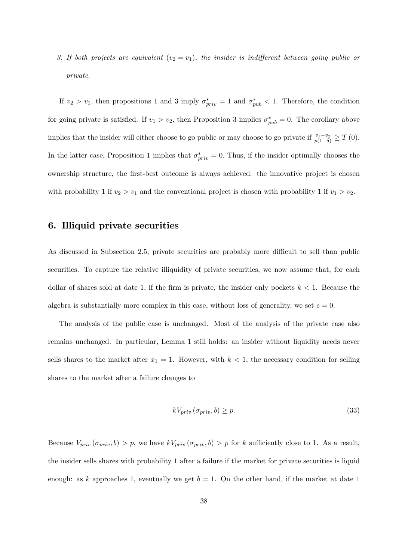3. If both projects are equivalent  $(v_2 = v_1)$ , the insider is indifferent between going public or private.

If  $v_2 > v_1$ , then propositions 1 and 3 imply  $\sigma_{priv}^* = 1$  and  $\sigma_{pub}^* < 1$ . Therefore, the condition for going private is satisfied. If  $v_1 > v_2$ , then Proposition 3 implies  $\sigma_{pub}^* = 0$ . The corollary above implies that the insider will either choose to go public or may choose to go private if  $\frac{v_1-v_2}{p(1-\delta)} \geq T(0)$ . In the latter case, Proposition 1 implies that  $\sigma_{priv}^{*} = 0$ . Thus, if the insider optimally chooses the ownership structure, the first-best outcome is always achieved: the innovative project is chosen with probability 1 if  $v_2 > v_1$  and the conventional project is chosen with probability 1 if  $v_1 > v_2$ .

# 6. Illiquid private securities

As discussed in Subsection 2.5, private securities are probably more difficult to sell than public securities. To capture the relative illiquidity of private securities, we now assume that, for each dollar of shares sold at date 1, if the firm is private, the insider only pockets  $k < 1$ . Because the algebra is substantially more complex in this case, without loss of generality, we set  $e = 0$ .

The analysis of the public case is unchanged. Most of the analysis of the private case also remains unchanged. In particular, Lemma 1 still holds: an insider without liquidity needs never sells shares to the market after  $x_1 = 1$ . However, with  $k < 1$ , the necessary condition for selling shares to the market after a failure changes to

$$
kV_{priv}(\sigma_{priv}, b) \ge p. \tag{33}
$$

Because  $V_{priv}(\sigma_{priv}, b) > p$ , we have  $kV_{priv}(\sigma_{priv}, b) > p$  for k sufficiently close to 1. As a result, the insider sells shares with probability 1 after a failure if the market for private securities is liquid enough: as k approaches 1, eventually we get  $b = 1$ . On the other hand, if the market at date 1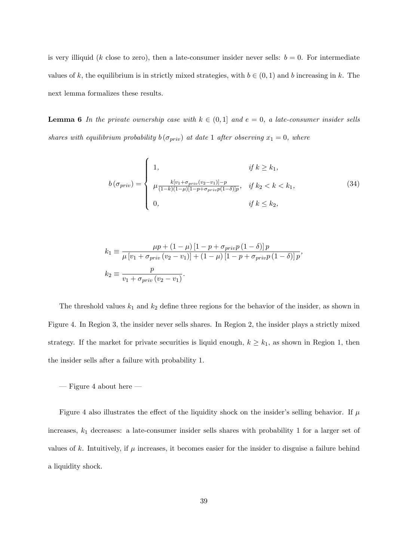is very illiquid (k close to zero), then a late-consumer insider never sells:  $b = 0$ . For intermediate values of k, the equilibrium is in strictly mixed strategies, with  $b \in (0, 1)$  and b increasing in k. The next lemma formalizes these results.

**Lemma 6** In the private ownership case with  $k \in (0, 1]$  and  $e = 0$ , a late-consumer insider sells shares with equilibrium probability  $b(\sigma_{priv})$  at date 1 after observing  $x_1 = 0$ , where

$$
b(\sigma_{priv}) = \begin{cases} 1, & \text{if } k \ge k_1, \\ \mu \frac{k[v_1 + \sigma_{priv}(v_2 - v_1)] - p}{(1 - k)(1 - \mu)[1 - p + \sigma_{priv}p(1 - \delta)]p}, & \text{if } k_2 < k < k_1, \\ 0, & \text{if } k \le k_2, \end{cases}
$$
(34)

$$
k_1 \equiv \frac{\mu p + (1 - \mu) [1 - p + \sigma_{priv} p (1 - \delta)] p}{\mu [v_1 + \sigma_{priv} (v_2 - v_1)] + (1 - \mu) [1 - p + \sigma_{priv} p (1 - \delta)] p},
$$
  

$$
k_2 \equiv \frac{p}{v_1 + \sigma_{priv} (v_2 - v_1)}.
$$

The threshold values  $k_1$  and  $k_2$  define three regions for the behavior of the insider, as shown in Figure 4. In Region 3, the insider never sells shares. In Region 2, the insider plays a strictly mixed strategy. If the market for private securities is liquid enough,  $k \geq k_1$ , as shown in Region 1, then the insider sells after a failure with probability 1.

 $-$  Figure 4 about here  $-$ 

Figure 4 also illustrates the effect of the liquidity shock on the insider's selling behavior. If  $\mu$ increases,  $k_1$  decreases: a late-consumer insider sells shares with probability 1 for a larger set of values of k. Intuitively, if  $\mu$  increases, it becomes easier for the insider to disguise a failure behind a liquidity shock.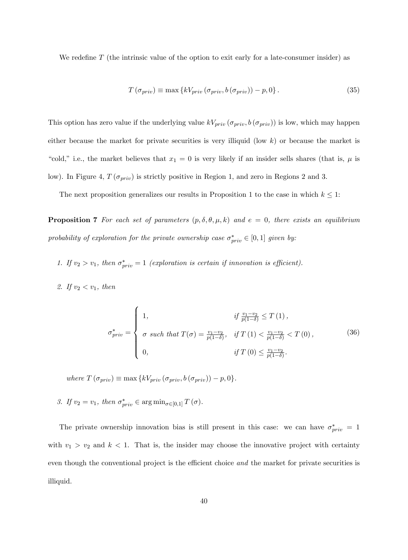We redefine  $T$  (the intrinsic value of the option to exit early for a late-consumer insider) as

$$
T\left(\sigma_{priv}\right) \equiv \max\left\{kV_{priv}\left(\sigma_{priv}, b\left(\sigma_{priv}\right)\right) - p, 0\right\}.\tag{35}
$$

This option has zero value if the underlying value  $kV_{priv}(\sigma_{priv}, b(\sigma_{priv}))$  is low, which may happen either because the market for private securities is very illiquid (low  $k$ ) or because the market is "cold," i.e., the market believes that  $x_1 = 0$  is very likely if an insider sells shares (that is,  $\mu$  is low). In Figure 4,  $T(\sigma_{priv})$  is strictly positive in Region 1, and zero in Regions 2 and 3.

The next proposition generalizes our results in Proposition 1 to the case in which  $k \leq 1$ :

**Proposition 7** For each set of parameters  $(p, \delta, \theta, \mu, k)$  and  $e = 0$ , there exists an equilibrium probability of exploration for the private ownership case  $\sigma_{priv}^* \in [0,1]$  given by:

- 1. If  $v_2 > v_1$ , then  $\sigma_{priv}^* = 1$  (exploration is certain if innovation is efficient).
- 2. If  $v_2 < v_1$ , then

$$
\sigma_{priv}^{*} = \begin{cases}\n1, & \text{if } \frac{v_1 - v_2}{p(1 - \delta)} \le T(1), \\
\sigma_{priv} = \begin{cases}\n\sigma \text{ such that } T(\sigma) = \frac{v_1 - v_2}{p(1 - \delta)}, & \text{if } T(1) < \frac{v_1 - v_2}{p(1 - \delta)} < T(0), \\
0, & \text{if } T(0) \le \frac{v_1 - v_2}{p(1 - \delta)}.\n\end{cases}\n\end{cases}
$$
\n(36)

where  $T(\sigma_{priv}) \equiv \max \{kV_{priv} (\sigma_{priv}, b(\sigma_{priv})) - p, 0\}.$ 

3. If  $v_2 = v_1$ , then  $\sigma_{priv}^* \in \arg \min_{\sigma \in [0,1]} T(\sigma)$ .

The private ownership innovation bias is still present in this case: we can have  $\sigma_{priv}^* = 1$ with  $v_1 > v_2$  and  $k < 1$ . That is, the insider may choose the innovative project with certainty even though the conventional project is the efficient choice and the market for private securities is illiquid.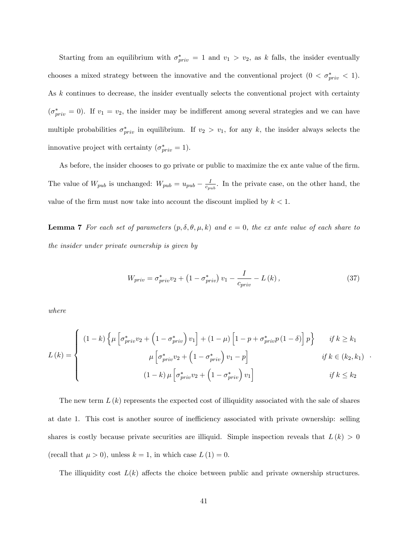Starting from an equilibrium with  $\sigma_{priv}^* = 1$  and  $v_1 > v_2$ , as k falls, the insider eventually chooses a mixed strategy between the innovative and the conventional project  $(0 < \sigma_{priv}^* < 1)$ . As k continues to decrease, the insider eventually selects the conventional project with certainty  $(\sigma^*_{priv} = 0)$ . If  $v_1 = v_2$ , the insider may be indifferent among several strategies and we can have multiple probabilities  $\sigma_{priv}^*$  in equilibrium. If  $v_2 > v_1$ , for any k, the insider always selects the innovative project with certainty  $(\sigma_{priv}^* = 1)$ .

As before, the insider chooses to go private or public to maximize the ex ante value of the firm. The value of  $W_{pub}$  is unchanged:  $W_{pub} = u_{pub} - \frac{I}{c_{pub}}$  $\frac{I}{c_{pub}}$ . In the private case, on the other hand, the value of the firm must now take into account the discount implied by  $k < 1$ .

**Lemma 7** For each set of parameters  $(p, \delta, \theta, \mu, k)$  and  $e = 0$ , the ex ante value of each share to the insider under private ownership is given by

$$
W_{priv} = \sigma_{priv}^{*} v_{2} + \left(1 - \sigma_{priv}^{*}\right) v_{1} - \frac{I}{c_{priv}} - L\left(k\right),\tag{37}
$$

:

where

$$
L(k) = \begin{cases} (1-k)\left\{\mu\left[\sigma_{priv}^*v_2 + \left(1-\sigma_{priv}^*\right)v_1\right] + (1-\mu)\left[1-p+\sigma_{priv}^*p\left(1-\delta\right)\right]p\right\} & \text{if } k \ge k_1\\ \mu\left[\sigma_{priv}^*v_2 + \left(1-\sigma_{priv}^*\right)v_1-p\right] & \text{if } k \in (k_2, k_1) \end{cases}
$$
\n
$$
(1-k)\mu\left[\sigma_{priv}^*v_2 + \left(1-\sigma_{priv}^*\right)v_1\right] & \text{if } k \le k_2
$$

The new term  $L(k)$  represents the expected cost of illiquidity associated with the sale of shares at date 1. This cost is another source of inefficiency associated with private ownership: selling shares is costly because private securities are illiquid. Simple inspection reveals that  $L(k) > 0$ (recall that  $\mu > 0$ ), unless  $k = 1$ , in which case  $L(1) = 0$ .

The illiquidity cost  $L(k)$  affects the choice between public and private ownership structures.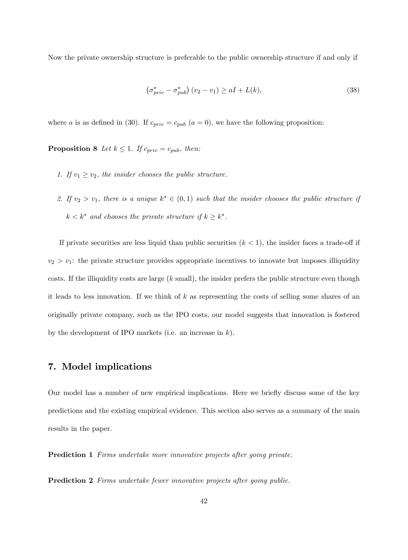Now the private ownership structure is preferable to the public ownership structure if and only if

$$
\left(\sigma_{priv}^{*} - \sigma_{pub}^{*}\right)\left(v_{2} - v_{1}\right) \ge aI + L(k),\tag{38}
$$

where a is as defined in (30). If  $c_{priv} = c_{pub}$  (a = 0), we have the following proposition:

**Proposition 8** Let  $k \leq 1$ . If  $c_{priv} = c_{pub}$ , then:

- 1. If  $v_1 \ge v_2$ , the insider chooses the public structure.
- 2. If  $v_2 > v_1$ , there is a unique  $k^* \in (0,1)$  such that the insider chooses the public structure if  $k < k^*$  and chooses the private structure if  $k \geq k^*$ .

If private securities are less liquid than public securities  $(k < 1)$ , the insider faces a trade-off if  $v_2 > v_1$ : the private structure provides appropriate incentives to innovate but imposes illiquidity costs. If the illiquidity costs are large  $(k \text{ small})$ , the insider prefers the public structure even though it leads to less innovation. If we think of  $k$  as representing the costs of selling some shares of an originally private company, such as the IPO costs, our model suggests that innovation is fostered by the development of IPO markets (i.e. an increase in  $k$ ).

# 7. Model implications

Our model has a number of new empirical implications. Here we brieáy discuss some of the key predictions and the existing empirical evidence. This section also serves as a summary of the main results in the paper.

Prediction 1 Firms undertake more innovative projects after going private.

**Prediction 2** Firms undertake fewer innovative projects after going public.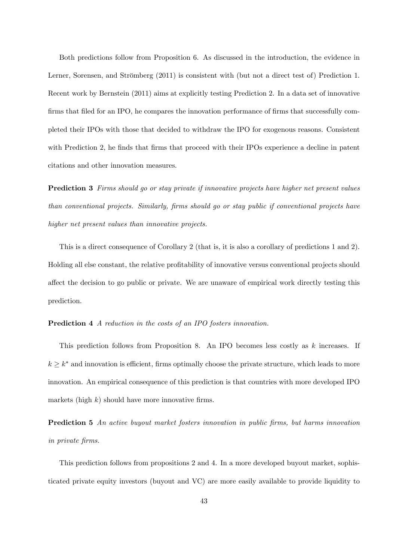Both predictions follow from Proposition 6. As discussed in the introduction, the evidence in Lerner, Sorensen, and Strömberg (2011) is consistent with (but not a direct test of) Prediction 1. Recent work by Bernstein (2011) aims at explicitly testing Prediction 2. In a data set of innovative firms that filed for an IPO, he compares the innovation performance of firms that successfully completed their IPOs with those that decided to withdraw the IPO for exogenous reasons. Consistent with Prediction 2, he finds that firms that proceed with their IPOs experience a decline in patent citations and other innovation measures.

**Prediction 3** Firms should go or stay private if innovative projects have higher net present values than conventional projects. Similarly, Örms should go or stay public if conventional projects have higher net present values than innovative projects.

This is a direct consequence of Corollary 2 (that is, it is also a corollary of predictions 1 and 2). Holding all else constant, the relative profitability of innovative versus conventional projects should affect the decision to go public or private. We are unaware of empirical work directly testing this prediction.

## Prediction 4 A reduction in the costs of an IPO fosters innovation.

This prediction follows from Proposition 8. An IPO becomes less costly as  $k$  increases. If  $k \geq k^*$  and innovation is efficient, firms optimally choose the private structure, which leads to more innovation. An empirical consequence of this prediction is that countries with more developed IPO markets (high  $k$ ) should have more innovative firms.

**Prediction 5** An active buyout market fosters innovation in public firms, but harms innovation in private Örms.

This prediction follows from propositions 2 and 4. In a more developed buyout market, sophisticated private equity investors (buyout and VC) are more easily available to provide liquidity to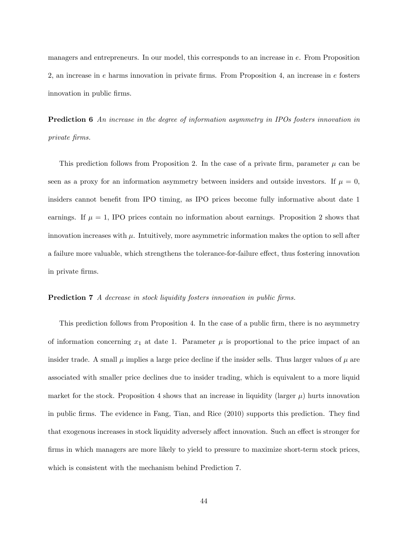managers and entrepreneurs. In our model, this corresponds to an increase in e. From Proposition 2, an increase in  $e$  harms innovation in private firms. From Proposition 4, an increase in  $e$  fosters innovation in public firms.

**Prediction 6** An increase in the degree of information asymmetry in IPOs fosters innovation in private Örms.

This prediction follows from Proposition 2. In the case of a private firm, parameter  $\mu$  can be seen as a proxy for an information asymmetry between insiders and outside investors. If  $\mu = 0$ , insiders cannot benefit from IPO timing, as IPO prices become fully informative about date 1 earnings. If  $\mu = 1$ , IPO prices contain no information about earnings. Proposition 2 shows that innovation increases with  $\mu$ . Intuitively, more asymmetric information makes the option to sell after a failure more valuable, which strengthens the tolerance-for-failure effect, thus fostering innovation in private firms.

## Prediction 7 A decrease in stock liquidity fosters innovation in public firms.

This prediction follows from Proposition 4. In the case of a public firm, there is no asymmetry of information concerning  $x_1$  at date 1. Parameter  $\mu$  is proportional to the price impact of an insider trade. A small  $\mu$  implies a large price decline if the insider sells. Thus larger values of  $\mu$  are associated with smaller price declines due to insider trading, which is equivalent to a more liquid market for the stock. Proposition 4 shows that an increase in liquidity (larger  $\mu$ ) hurts innovation in public firms. The evidence in Fang, Tian, and Rice (2010) supports this prediction. They find that exogenous increases in stock liquidity adversely affect innovation. Such an effect is stronger for firms in which managers are more likely to yield to pressure to maximize short-term stock prices, which is consistent with the mechanism behind Prediction 7.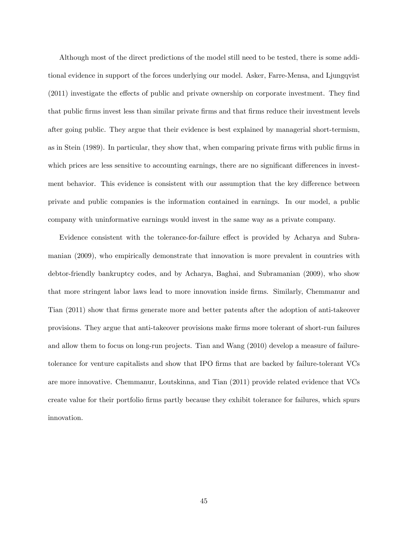Although most of the direct predictions of the model still need to be tested, there is some additional evidence in support of the forces underlying our model. Asker, Farre-Mensa, and Ljungqvist  $(2011)$  investigate the effects of public and private ownership on corporate investment. They find that public Örms invest less than similar private Örms and that Örms reduce their investment levels after going public. They argue that their evidence is best explained by managerial short-termism, as in Stein (1989). In particular, they show that, when comparing private Örms with public Örms in which prices are less sensitive to accounting earnings, there are no significant differences in investment behavior. This evidence is consistent with our assumption that the key difference between private and public companies is the information contained in earnings. In our model, a public company with uninformative earnings would invest in the same way as a private company.

Evidence consistent with the tolerance-for-failure effect is provided by Acharya and Subramanian (2009), who empirically demonstrate that innovation is more prevalent in countries with debtor-friendly bankruptcy codes, and by Acharya, Baghai, and Subramanian (2009), who show that more stringent labor laws lead to more innovation inside firms. Similarly, Chemmanur and Tian (2011) show that Örms generate more and better patents after the adoption of anti-takeover provisions. They argue that anti-takeover provisions make Örms more tolerant of short-run failures and allow them to focus on long-run projects. Tian and Wang (2010) develop a measure of failuretolerance for venture capitalists and show that IPO Örms that are backed by failure-tolerant VCs are more innovative. Chemmanur, Loutskinna, and Tian (2011) provide related evidence that VCs create value for their portfolio Örms partly because they exhibit tolerance for failures, which spurs innovation.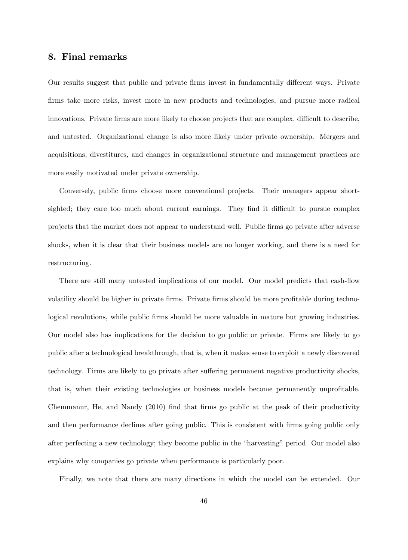# 8. Final remarks

Our results suggest that public and private firms invest in fundamentally different ways. Private Örms take more risks, invest more in new products and technologies, and pursue more radical innovations. Private firms are more likely to choose projects that are complex, difficult to describe, and untested. Organizational change is also more likely under private ownership. Mergers and acquisitions, divestitures, and changes in organizational structure and management practices are more easily motivated under private ownership.

Conversely, public firms choose more conventional projects. Their managers appear shortsighted; they care too much about current earnings. They find it difficult to pursue complex projects that the market does not appear to understand well. Public Örms go private after adverse shocks, when it is clear that their business models are no longer working, and there is a need for restructuring.

There are still many untested implications of our model. Our model predicts that cash-flow volatility should be higher in private firms. Private firms should be more profitable during technological revolutions, while public firms should be more valuable in mature but growing industries. Our model also has implications for the decision to go public or private. Firms are likely to go public after a technological breakthrough, that is, when it makes sense to exploit a newly discovered technology. Firms are likely to go private after suffering permanent negative productivity shocks, that is, when their existing technologies or business models become permanently unprofitable. Chemmanur, He, and Nandy (2010) find that firms go public at the peak of their productivity and then performance declines after going public. This is consistent with firms going public only after perfecting a new technology; they become public in the "harvesting" period. Our model also explains why companies go private when performance is particularly poor.

Finally, we note that there are many directions in which the model can be extended. Our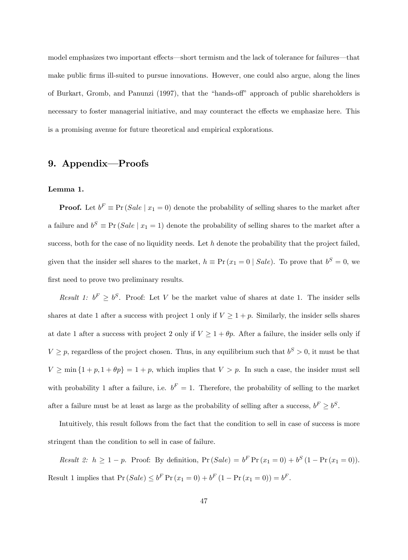model emphasizes two important effects—short termism and the lack of tolerance for failures—that make public firms ill-suited to pursue innovations. However, one could also argue, along the lines of Burkart, Gromb, and Panunzi (1997), that the "hands-off" approach of public shareholders is necessary to foster managerial initiative, and may counteract the effects we emphasize here. This is a promising avenue for future theoretical and empirical explorations.

# 9. Appendix-Proofs

#### Lemma 1.

**Proof.** Let  $b^F \equiv \Pr(Sale \mid x_1 = 0)$  denote the probability of selling shares to the market after a failure and  $b^S \equiv \Pr(Sale \mid x_1 = 1)$  denote the probability of selling shares to the market after a success, both for the case of no liquidity needs. Let  $h$  denote the probability that the project failed, given that the insider sell shares to the market,  $h \equiv Pr(x_1 = 0 \mid Sale)$ . To prove that  $b^S = 0$ , we first need to prove two preliminary results.

Result 1:  $b^F \geq b^S$ . Proof: Let V be the market value of shares at date 1. The insider sells shares at date 1 after a success with project 1 only if  $V \ge 1 + p$ . Similarly, the insider sells shares at date 1 after a success with project 2 only if  $V \ge 1 + \theta p$ . After a failure, the insider sells only if  $V \geq p$ , regardless of the project chosen. Thus, in any equilibrium such that  $b^S > 0$ , it must be that  $V \ge \min\{1 + p, 1 + \theta p\} = 1 + p$ , which implies that  $V > p$ . In such a case, the insider must sell with probability 1 after a failure, i.e.  $b^F = 1$ . Therefore, the probability of selling to the market after a failure must be at least as large as the probability of selling after a success,  $b^F \ge b^S$ .

Intuitively, this result follows from the fact that the condition to sell in case of success is more stringent than the condition to sell in case of failure.

*Result 2:*  $h \ge 1 - p$ . Proof: By definition,  $Pr(Sale) = b^F Pr(x_1 = 0) + b^S (1 - Pr(x_1 = 0))$ . Result 1 implies that  $Pr(Sale) \le b^F Pr(x_1 = 0) + b^F (1 - Pr(x_1 = 0)) = b^F$ .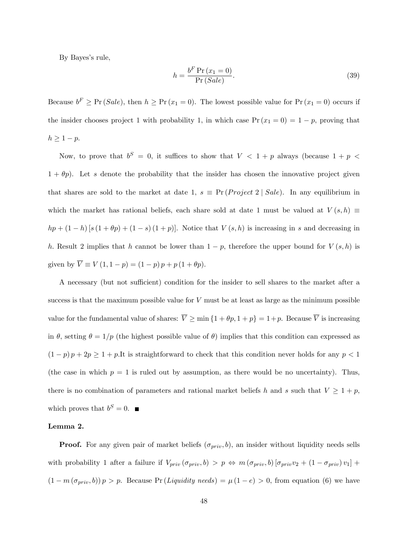By Bayes's rule,

$$
h = \frac{b^F \Pr(x_1 = 0)}{\Pr(Sale)}.
$$
\n(39)

Because  $b^F \geq \Pr(\text{Sale})$ , then  $h \geq \Pr(x_1 = 0)$ . The lowest possible value for  $\Pr(x_1 = 0)$  occurs if the insider chooses project 1 with probability 1, in which case  $Pr(x_1 = 0) = 1 - p$ , proving that  $h \geq 1 - p.$ 

Now, to prove that  $b^S = 0$ , it suffices to show that  $V < 1 + p$  always (because  $1 + p <$  $1 + \theta p$ . Let s denote the probability that the insider has chosen the innovative project given that shares are sold to the market at date 1,  $s \equiv Pr(Project\ 2 \mid Sale)$ . In any equilibrium in which the market has rational beliefs, each share sold at date 1 must be valued at  $V(s, h) \equiv$  $hp + (1-h) [s (1+\theta p) + (1-s) (1+p)].$  Notice that  $V(s,h)$  is increasing in s and decreasing in h. Result 2 implies that h cannot be lower than  $1 - p$ , therefore the upper bound for  $V(s, h)$  is given by  $\overline{V} \equiv V(1, 1 - p) = (1 - p) p + p (1 + \theta p).$ 

A necessary (but not sufficient) condition for the insider to sell shares to the market after a success is that the maximum possible value for  $V$  must be at least as large as the minimum possible value for the fundamental value of shares:  $\overline{V} \ge \min\{1 + \theta p, 1 + p\} = 1 + p$ . Because  $\overline{V}$  is increasing in  $\theta$ , setting  $\theta = 1/p$  (the highest possible value of  $\theta$ ) implies that this condition can expressed as  $(1-p) p + 2p \ge 1 + p$ .It is straightforward to check that this condition never holds for any  $p < 1$ (the case in which  $p = 1$  is ruled out by assumption, as there would be no uncertainty). Thus, there is no combination of parameters and rational market beliefs h and s such that  $V \geq 1 + p$ , which proves that  $b^S = 0$ .

#### Lemma 2.

**Proof.** For any given pair of market beliefs  $(\sigma_{priv}, b)$ , an insider without liquidity needs sells with probability 1 after a failure if  $V_{priv} (\sigma_{priv}, b) > p \Leftrightarrow m (\sigma_{priv}, b) [\sigma_{priv} v_2 + (1 - \sigma_{priv}) v_1] +$  $(1 - m(\sigma_{priv}, b)) p > p$ . Because Pr (*Liquidity needs*) =  $\mu(1 - e) > 0$ , from equation (6) we have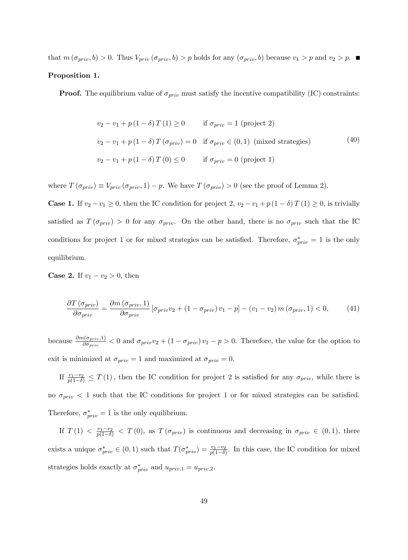that  $m(\sigma_{priv}, b) > 0$ . Thus  $V_{priv}(\sigma_{priv}, b) > p$  holds for any  $(\sigma_{priv}, b)$  because  $v_1 > p$  and  $v_2 > p$ .

## Proposition 1.

**Proof.** The equilibrium value of  $\sigma_{priv}$  must satisfy the incentive compatibility (IC) constraints:

$$
v_2 - v_1 + p(1 - \delta) T(1) \ge 0 \qquad \text{if } \sigma_{priv} = 1 \text{ (project 2)}
$$
  

$$
v_2 - v_1 + p(1 - \delta) T(\sigma_{priv}) = 0 \quad \text{if } \sigma_{priv} \in (0, 1) \text{ (mixed strategies)}
$$
  

$$
v_2 - v_1 + p(1 - \delta) T(0) \le 0 \qquad \text{if } \sigma_{priv} = 0 \text{ (project 1)}
$$

where  $T(\sigma_{priv}) \equiv V_{priv}(\sigma_{priv}, 1) - p$ . We have  $T(\sigma_{priv}) > 0$  (see the proof of Lemma 2).

**Case 1.** If  $v_2 - v_1 \ge 0$ , then the IC condition for project 2,  $v_2 - v_1 + p(1 - \delta)T(1) \ge 0$ , is trivially satisfied as  $T(\sigma_{priv}) > 0$  for any  $\sigma_{priv}$ . On the other hand, there is no  $\sigma_{priv}$  such that the IC conditions for project 1 or for mixed strategies can be satisfied. Therefore,  $\sigma_{priv}^{*} = 1$  is the only equilibrium.

**Case 2.** If  $v_1 - v_2 > 0$ , then

$$
\frac{\partial T\left(\sigma_{priv}\right)}{\partial \sigma_{priv}} = \frac{\partial m\left(\sigma_{priv}, 1\right)}{\partial \sigma_{priv}} \left[\sigma_{priv}v_{2} + \left(1 - \sigma_{priv}\right)v_{1} - p\right] - \left(v_{1} - v_{2}\right)m\left(\sigma_{priv}, 1\right) < 0,\tag{41}
$$

because  $\frac{\partial m(\sigma_{priv.}1)}{\partial \sigma_{priv}} < 0$  and  $\sigma_{priv}v_2 + (1 - \sigma_{priv})v_1 - p > 0$ . Therefore, the value for the option to exit is minimized at  $\sigma_{priv} = 1$  and maximized at  $\sigma_{priv} = 0$ .

If  $\frac{v_1-v_2}{p(1-\delta)} \leq T(1)$ , then the IC condition for project 2 is satisfied for any  $\sigma_{priv}$ , while there is no  $\sigma_{priv}$  < 1 such that the IC conditions for project 1 or for mixed strategies can be satisfied. Therefore,  $\sigma_{priv}^{*} = 1$  is the only equilibrium.

If  $T(1) < \frac{v_1-v_2}{p(1-\delta)} < T(0)$ , as  $T(\sigma_{priv})$  is continuous and decreasing in  $\sigma_{priv} \in (0,1)$ , there exists a unique  $\sigma_{priv}^* \in (0,1)$  such that  $T(\sigma_{priv}^*) = \frac{v_1-v_2}{p(1-\delta)}$ . In this case, the IC condition for mixed strategies holds exactly at  $\sigma_{priv}^*$  and  $u_{priv,1} = u_{priv,2}$ .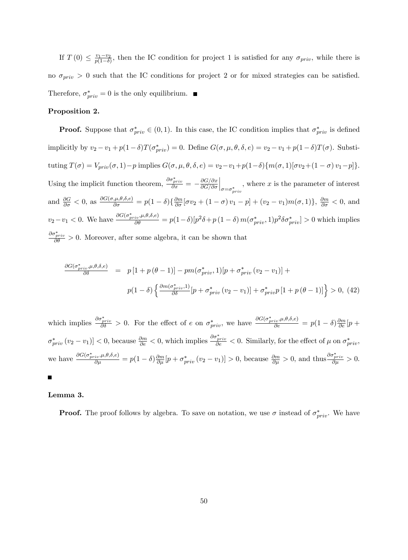If  $T(0) \leq \frac{v_1-v_2}{p(1-\delta)}$  $\frac{v_1-v_2}{p(1-\delta)}$ , then the IC condition for project 1 is satisfied for any  $\sigma_{priv}$ , while there is no  $\sigma_{priv} > 0$  such that the IC conditions for project 2 or for mixed strategies can be satisfied. Therefore,  $\sigma_{priv}^* = 0$  is the only equilibrium.

#### Proposition 2.

**Proof.** Suppose that  $\sigma_{priv}^* \in (0, 1)$ . In this case, the IC condition implies that  $\sigma_{priv}^*$  is defined implicitly by  $v_2 - v_1 + p(1 - \delta)T(\sigma_{priv}^*) = 0$ . Define  $G(\sigma, \mu, \theta, \delta, e) = v_2 - v_1 + p(1 - \delta)T(\sigma)$ . Substituting  $T(\sigma) = V_{priv}(\sigma, 1) - p$  implies  $G(\sigma, \mu, \theta, \delta, e) = v_2 - v_1 + p(1-\delta)\{m(\sigma, 1) [\sigma v_2 + (1-\sigma) v_1 - p]\}.$ Using the implicit function theorem,  $\frac{\partial \sigma_{priv}^*}{\partial x} = -\frac{\partial G/\partial x}{\partial G/\partial \sigma}$  $\partial G/\partial \sigma$  $\Big|_{\sigma = \sigma^*_{priv}}$ , where  $x$  is the parameter of interest and  $\frac{\partial G}{\partial \sigma} < 0$ , as  $\frac{\partial G(\sigma,\mu,\theta,\delta,e)}{\partial \sigma} = p(1-\delta)\{\frac{\partial m}{\partial \sigma}[\sigma v_2 + (1-\sigma)v_1 - p] + (v_2 - v_1)m(\sigma,1)\}, \frac{\partial m}{\partial \sigma} < 0$ , and  $v_2 - v_1 < 0$ . We have  $\frac{\partial G(\sigma_{priv}^*,\mu,\theta,\delta,e)}{\partial \theta} = p(1-\delta)[p^2\delta + p(1-\delta)m(\sigma_{priv}^*,1)p^2\delta\sigma_{priv}^*] > 0$  which implies  $\frac{\partial \sigma_{priv}^*}{\partial \theta} > 0$ . Moreover, after some algebra, it can be shown that

$$
\frac{\partial G(\sigma_{priv}^*,\mu,\theta,\delta,e)}{\partial \delta} = p[1+p(\theta-1)] - pm(\sigma_{priv}^*,1)[p+\sigma_{priv}^*(v_2-v_1)] +
$$

$$
p(1-\delta)\left\{\frac{\partial m(\sigma_{priv}^*,1)}{\partial \delta}[p+\sigma_{priv}^*(v_2-v_1)] + \sigma_{priv}^*p[1+p(\theta-1)]\right\} > 0, (42)
$$

which implies  $\frac{\partial \sigma_{priv}^*}{\partial \delta} > 0$ . For the effect of e on  $\sigma_{priv}^*$ , we have  $\frac{\partial G(\sigma_{priv}^*,\mu,\theta,\delta,e)}{\partial e} = p(1-\delta)\frac{\partial m}{\partial e}[p+1]$  $\left[\sigma_{priv}^{*}(v_{2}-v_{1})\right]<0$ , because  $\frac{\partial m}{\partial e}<0$ , which implies  $\frac{\partial \sigma_{priv}^{*}}{\partial e}<0$ . Similarly, for the effect of  $\mu$  on  $\sigma_{priv}^{*}$ , we have  $\frac{\partial G(\sigma_{priv}^*,\mu,\theta,\delta,e)}{\partial \mu} = p(1-\delta)\frac{\partial m}{\partial \mu}[p + \sigma_{priv}^*(v_2 - v_1)] > 0$ , because  $\frac{\partial m}{\partial \mu} > 0$ , and thus  $\frac{\partial \sigma_{priv}^*(v_2 - v_1)}{\partial \mu} > 0$ .

# $\blacksquare$

## Lemma 3.

**Proof.** The proof follows by algebra. To save on notation, we use  $\sigma$  instead of  $\sigma_{priv}^*$ . We have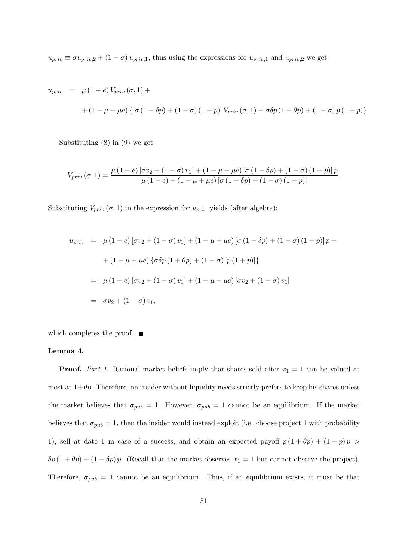$u_{priv} \equiv \sigma u_{priv,2} + (1 - \sigma) u_{priv,1}$ , thus using the expressions for  $u_{priv,1}$  and  $u_{priv,2}$  we get

$$
u_{priv} = \mu (1 - e) V_{priv} (\sigma, 1) ++ (1 - \mu + \mu e) \{ [\sigma (1 - \delta p) + (1 - \sigma) (1 - p)] V_{priv} (\sigma, 1) + \sigma \delta p (1 + \theta p) + (1 - \sigma) p (1 + p) \}.
$$

Substituting (8) in (9) we get

$$
V_{priv}(\sigma, 1) = \frac{\mu (1 - e) [\sigma v_2 + (1 - \sigma) v_1] + (1 - \mu + \mu e) [\sigma (1 - \delta p) + (1 - \sigma) (1 - p)] p}{\mu (1 - e) + (1 - \mu + \mu e) [\sigma (1 - \delta p) + (1 - \sigma) (1 - p)]}.
$$

Substituting  $V_{priv}(\sigma, 1)$  in the expression for  $u_{priv}$  yields (after algebra):

$$
u_{priv} = \mu (1 - e) [\sigma v_2 + (1 - \sigma) v_1] + (1 - \mu + \mu e) [\sigma (1 - \delta p) + (1 - \sigma) (1 - p)] p +
$$

$$
+ (1 - \mu + \mu e) {\sigma \delta p (1 + \theta p) + (1 - \sigma) [p (1 + p)] }
$$

$$
= \mu (1 - e) [\sigma v_2 + (1 - \sigma) v_1] + (1 - \mu + \mu e) [\sigma v_2 + (1 - \sigma) v_1]
$$

$$
= \sigma v_2 + (1 - \sigma) v_1,
$$

which completes the proof.  $\blacksquare$ 

## Lemma 4.

**Proof.** Part 1. Rational market beliefs imply that shares sold after  $x_1 = 1$  can be valued at most at  $1+\theta p$ . Therefore, an insider without liquidity needs strictly prefers to keep his shares unless the market believes that  $\sigma_{pub} = 1$ . However,  $\sigma_{pub} = 1$  cannot be an equilibrium. If the market believes that  $\sigma_{pub} = 1$ , then the insider would instead exploit (i.e. choose project 1 with probability 1), sell at date 1 in case of a success, and obtain an expected payoff  $p(1 + \theta p) + (1 - p)p$  $\delta p (1 + \theta p) + (1 - \delta p) p$ . (Recall that the market observes  $x_1 = 1$  but cannot observe the project). Therefore,  $\sigma_{pub} = 1$  cannot be an equilibrium. Thus, if an equilibrium exists, it must be that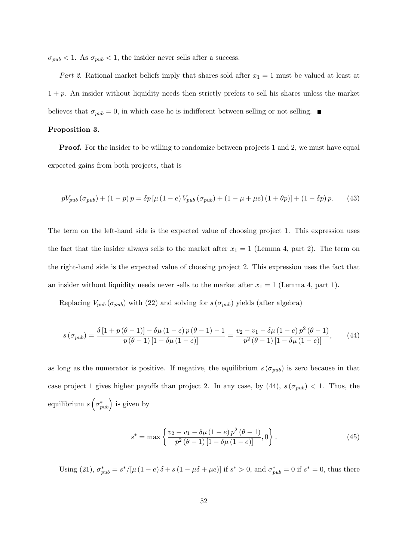$\sigma_{pub} < 1$ . As  $\sigma_{pub} < 1$ , the insider never sells after a success.

Part 2. Rational market beliefs imply that shares sold after  $x_1 = 1$  must be valued at least at  $1 + p$ . An insider without liquidity needs then strictly prefers to sell his shares unless the market believes that  $\sigma_{pub} = 0$ , in which case he is indifferent between selling or not selling.

# Proposition 3.

**Proof.** For the insider to be willing to randomize between projects 1 and 2, we must have equal expected gains from both projects, that is

$$
pV_{pub}(\sigma_{pub}) + (1-p)p = \delta p \left[ \mu (1-e) V_{pub}(\sigma_{pub}) + (1-\mu+\mu e) (1+\theta p) \right] + (1-\delta p)p. \tag{43}
$$

The term on the left-hand side is the expected value of choosing project 1. This expression uses the fact that the insider always sells to the market after  $x_1 = 1$  (Lemma 4, part 2). The term on the right-hand side is the expected value of choosing project 2. This expression uses the fact that an insider without liquidity needs never sells to the market after  $x_1 = 1$  (Lemma 4, part 1).

Replacing  $V_{pub}(\sigma_{pub})$  with (22) and solving for  $s(\sigma_{pub})$  yields (after algebra)

$$
s\left(\sigma_{pub}\right) = \frac{\delta\left[1+p\left(\theta-1\right)\right] - \delta\mu\left(1-e\right)p\left(\theta-1\right) - 1}{p\left(\theta-1\right)\left[1-\delta\mu\left(1-e\right)\right]} = \frac{v_2 - v_1 - \delta\mu\left(1-e\right)p^2\left(\theta-1\right)}{p^2\left(\theta-1\right)\left[1-\delta\mu\left(1-e\right)\right]},\tag{44}
$$

as long as the numerator is positive. If negative, the equilibrium  $s(\sigma_{pub})$  is zero because in that case project 1 gives higher payoffs than project 2. In any case, by  $(44)$ ,  $s(\sigma_{pub}) < 1$ . Thus, the equilibrium  $s\left(\sigma^*_{pub}\right)$  is given by

$$
s^* = \max\left\{\frac{v_2 - v_1 - \delta\mu\left(1 - e\right)p^2\left(\theta - 1\right)}{p^2\left(\theta - 1\right)\left[1 - \delta\mu\left(1 - e\right)\right]}, 0\right\}.
$$
\n(45)

Using (21),  $\sigma_{pub}^* = s^*/[\mu (1 - e) \delta + s (1 - \mu \delta + \mu e)]$  if  $s^* > 0$ , and  $\sigma_{pub}^* = 0$  if  $s^* = 0$ , thus there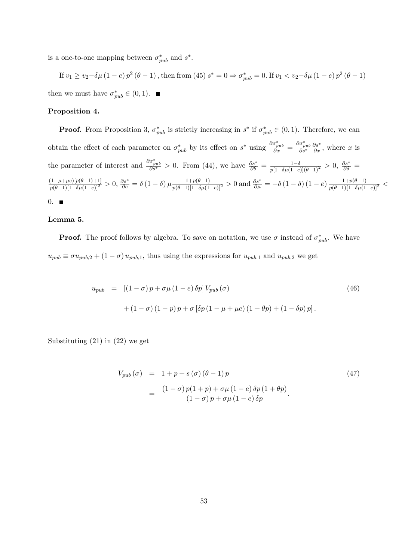is a one-to-one mapping between  $\sigma_{pub}^*$  and  $s^*$ .

If  $v_1 \ge v_2 - \delta \mu (1-e) p^2 (\theta - 1)$ , then from (45)  $s^* = 0 \Rightarrow \sigma_{pub}^* = 0$ . If  $v_1 < v_2 - \delta \mu (1-e) p^2 (\theta - 1)$ then we must have  $\sigma_{pub}^* \in (0, 1)$ .

#### Proposition 4.

**Proof.** From Proposition 3,  $\sigma_{pub}^*$  is strictly increasing in  $s^*$  if  $\sigma_{pub}^* \in (0,1)$ . Therefore, we can obtain the effect of each parameter on  $\sigma_{pub}^*$  by its effect on  $s^*$  using  $\frac{\partial \sigma_{pub}^*}{\partial x} = \frac{\partial \sigma_{pub}^*}{\partial s^*}$  $\frac{\partial s^*}{\partial x}$ , where x is the parameter of interest and  $\frac{\partial \sigma_{pub}^*}{\partial s^*} > 0$ . From (44), we have  $\frac{\partial s^*}{\partial \theta} = \frac{1-\delta}{p[1-\delta\mu(1-e)](\theta-1)^2} > 0$ ,  $\frac{\partial s^*}{\partial \delta} =$  $\frac{(1-\mu+\mu e)[p(\theta-1)+1]}{p(\theta-1)[1-\delta\mu(1-e)]^2} > 0$ ,  $\frac{\partial s^*}{\partial e} = \delta(1-\delta)\mu \frac{1+p(\theta-1)}{p(\theta-1)[1-\delta\mu(1-e)]^2} > 0$  and  $\frac{\partial s^*}{\partial \mu} = -\delta(1-\delta)(1-e) \frac{1+p(\theta-1)}{p(\theta-1)[1-\delta\mu(1-e)]^2} < 0$  $0.$ 

#### Lemma 5.

**Proof.** The proof follows by algebra. To save on notation, we use  $\sigma$  instead of  $\sigma_{pub}^*$ . We have  $u_{pub} \equiv \sigma u_{pub,2} + (1 - \sigma) u_{pub,1}$ , thus using the expressions for  $u_{pub,1}$  and  $u_{pub,2}$  we get

$$
u_{pub} = [(1 - \sigma) p + \sigma \mu (1 - e) \delta p] V_{pub}(\sigma)
$$
  
+ (1 - \sigma) (1 - p) p + \sigma [\delta p (1 - \mu + \mu e) (1 + \theta p) + (1 - \delta p) p]. (46)

Substituting (21) in (22) we get

$$
V_{pub}(\sigma) = 1 + p + s(\sigma) (\theta - 1) p
$$
\n
$$
= \frac{(1 - \sigma) p(1 + p) + \sigma \mu (1 - e) \delta p (1 + \theta p)}{(1 - \sigma) p + \sigma \mu (1 - e) \delta p}.
$$
\n(47)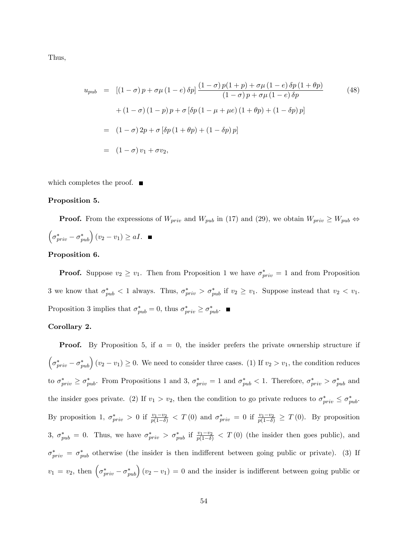Thus,

$$
u_{pub} = [(1 - \sigma) p + \sigma \mu (1 - e) \delta p] \frac{(1 - \sigma) p(1 + p) + \sigma \mu (1 - e) \delta p (1 + \theta p)}{(1 - \sigma) p + \sigma \mu (1 - e) \delta p} \qquad (48)
$$
  
+ 
$$
(1 - \sigma) (1 - p) p + \sigma [\delta p (1 - \mu + \mu e) (1 + \theta p) + (1 - \delta p) p]
$$
  
= 
$$
(1 - \sigma) 2p + \sigma [\delta p (1 + \theta p) + (1 - \delta p) p]
$$
  
= 
$$
(1 - \sigma) v_1 + \sigma v_2,
$$
 (48)

which completes the proof.  $\blacksquare$ 

## Proposition 5.

**Proof.** From the expressions of  $W_{priv}$  and  $W_{pub}$  in (17) and (29), we obtain  $W_{priv} \geq W_{pub} \Leftrightarrow$  $\left(\sigma_{priv}^* - \sigma_{pub}^*\right)(v_2 - v_1) \geq aI.$ 

# Proposition 6.

**Proof.** Suppose  $v_2 \ge v_1$ . Then from Proposition 1 we have  $\sigma_{priv}^* = 1$  and from Proposition 3 we know that  $\sigma_{pub}^* < 1$  always. Thus,  $\sigma_{priv}^* > \sigma_{pub}^*$  if  $v_2 \ge v_1$ . Suppose instead that  $v_2 < v_1$ . Proposition 3 implies that  $\sigma_{pub}^* = 0$ , thus  $\sigma_{priv}^* \ge \sigma_{pub}^*$ .

# Corollary 2.

**Proof.** By Proposition 5, if  $a = 0$ , the insider prefers the private ownership structure if  $\left(\sigma_{priv}^{*}-\sigma_{pub}^{*}\right)(v_2-v_1) \geq 0$ . We need to consider three cases. (1) If  $v_2 > v_1$ , the condition reduces to  $\sigma_{priv}^* \ge \sigma_{pub}^*$ . From Propositions 1 and 3,  $\sigma_{priv}^* = 1$  and  $\sigma_{pub}^* < 1$ . Therefore,  $\sigma_{priv}^* > \sigma_{pub}^*$  and the insider goes private. (2) If  $v_1 > v_2$ , then the condition to go private reduces to  $\sigma_{priv}^* \leq \sigma_{pub}^*$ . By proposition 1,  $\sigma_{priv}^* > 0$  if  $\frac{v_1 - v_2}{p(1 - \delta)} < T(0)$  and  $\sigma_{priv}^* = 0$  if  $\frac{v_1 - v_2}{p(1 - \delta)} \geq T(0)$ . By proposition 3,  $\sigma_{pub}^* = 0$ . Thus, we have  $\sigma_{priv}^* > \sigma_{pub}^*$  if  $\frac{v_1 - v_2}{p(1 - \delta)} < T(0)$  (the insider then goes public), and  $\sigma_{priv}^* = \sigma_{pub}^*$  otherwise (the insider is then indifferent between going public or private). (3) If  $v_1 = v_2$ , then  $(\sigma_{priv}^* - \sigma_{pub}^*) (v_2 - v_1) = 0$  and the insider is indifferent between going public or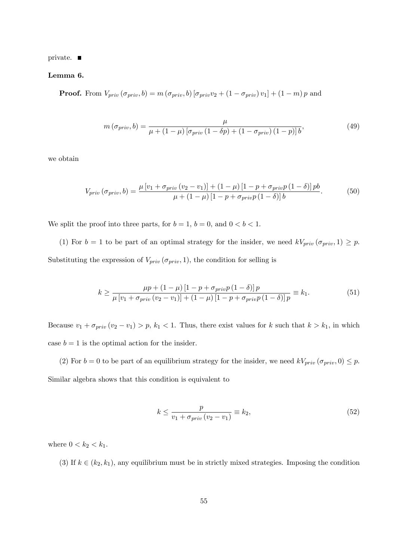private.

Lemma 6.

**Proof.** From  $V_{priv} (\sigma_{priv}, b) = m (\sigma_{priv}, b) [\sigma_{priv}v_2 + (1 - \sigma_{priv})v_1] + (1 - m)p$  and

$$
m\left(\sigma_{priv},b\right) = \frac{\mu}{\mu + \left(1 - \mu\right)\left[\sigma_{priv}\left(1 - \delta p\right) + \left(1 - \sigma_{priv}\right)\left(1 - p\right)\right]b},\tag{49}
$$

we obtain

$$
V_{priv} (\sigma_{priv}, b) = \frac{\mu \left[ v_1 + \sigma_{priv} (v_2 - v_1) \right] + (1 - \mu) \left[ 1 - p + \sigma_{priv} p \left( 1 - \delta \right) \right] pb}{\mu + (1 - \mu) \left[ 1 - p + \sigma_{priv} p \left( 1 - \delta \right) \right] b}.
$$
 (50)

We split the proof into three parts, for  $b = 1$ ,  $b = 0$ , and  $0 < b < 1$ .

(1) For  $b = 1$  to be part of an optimal strategy for the insider, we need  $kV_{priv}(\sigma_{priv}, 1) \geq p$ . Substituting the expression of  $V_{priv}(\sigma_{priv}, 1)$ , the condition for selling is

$$
k \ge \frac{\mu p + (1 - \mu) [1 - p + \sigma_{priv} p (1 - \delta)] p}{\mu [v_1 + \sigma_{priv} (v_2 - v_1)] + (1 - \mu) [1 - p + \sigma_{priv} p (1 - \delta)] p} \equiv k_1.
$$
 (51)

Because  $v_1 + \sigma_{priv}(v_2 - v_1) > p$ ,  $k_1 < 1$ . Thus, there exist values for k such that  $k > k_1$ , in which case  $b = 1$  is the optimal action for the insider.

(2) For  $b = 0$  to be part of an equilibrium strategy for the insider, we need  $kV_{priv}(\sigma_{priv}, 0) \leq p$ . Similar algebra shows that this condition is equivalent to

$$
k \le \frac{p}{v_1 + \sigma_{priv}(v_2 - v_1)} \equiv k_2,\tag{52}
$$

where  $0 < k_2 < k_1$ .

(3) If  $k \in (k_2, k_1)$ , any equilibrium must be in strictly mixed strategies. Imposing the condition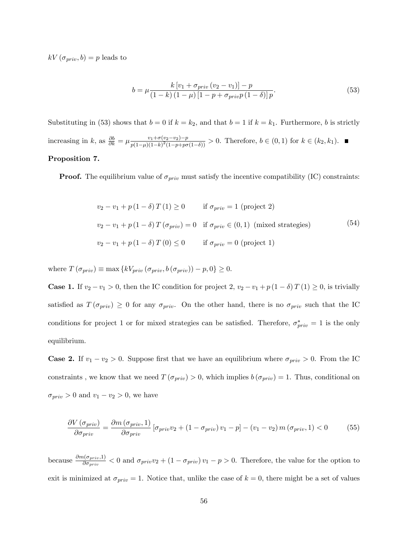$kV(\sigma_{priv}, b) = p$  leads to

$$
b = \mu \frac{k \left[ v_1 + \sigma_{priv} \left( v_2 - v_1 \right) \right] - p}{\left( 1 - k \right) \left( 1 - \mu \right) \left[ 1 - p + \sigma_{priv} p \left( 1 - \delta \right) \right] p}.
$$
\n(53)

Substituting in (53) shows that  $b = 0$  if  $k = k_2$ , and that  $b = 1$  if  $k = k_1$ . Furthermore, b is strictly increasing in k, as  $\frac{\partial b}{\partial k} = \mu \frac{v_1 + \sigma(v_2 - v_2) - p}{p(1 - \mu)(1 - k)^2 (1 - p + p\sigma)}$  $\frac{v_1+o(v_2-v_2)-p}{p(1-\mu)(1-k)^2(1-p+p\sigma(1-\delta))} > 0.$  Therefore,  $b \in (0,1)$  for  $k \in (k_2, k_1)$ .

# Proposition 7.

**Proof.** The equilibrium value of  $\sigma_{priv}$  must satisfy the incentive compatibility (IC) constraints:

$$
v_2 - v_1 + p(1 - \delta) T(1) \ge 0 \qquad \text{if } \sigma_{priv} = 1 \text{ (project 2)}
$$
  

$$
v_2 - v_1 + p(1 - \delta) T(\sigma_{priv}) = 0 \quad \text{if } \sigma_{priv} \in (0, 1) \text{ (mixed strategies)}
$$
  

$$
v_2 - v_1 + p(1 - \delta) T(0) \le 0 \qquad \text{if } \sigma_{priv} = 0 \text{ (project 1)}
$$

where  $T(\sigma_{priv}) \equiv \max \{kV_{priv} (\sigma_{priv}, b(\sigma_{priv})) - p, 0\} \ge 0.$ 

**Case 1.** If  $v_2 - v_1 > 0$ , then the IC condition for project 2,  $v_2 - v_1 + p(1 - \delta)T(1) \ge 0$ , is trivially satisfied as  $T(\sigma_{priv}) \geq 0$  for any  $\sigma_{priv}$ . On the other hand, there is no  $\sigma_{priv}$  such that the IC conditions for project 1 or for mixed strategies can be satisfied. Therefore,  $\sigma_{priv}^{*} = 1$  is the only equilibrium.

**Case 2.** If  $v_1 - v_2 > 0$ . Suppose first that we have an equilibrium where  $\sigma_{priv} > 0$ . From the IC constraints, we know that we need  $T(\sigma_{priv}) > 0$ , which implies  $b(\sigma_{priv}) = 1$ . Thus, conditional on  $\sigma_{priv} > 0$  and  $v_1 - v_2 > 0$ , we have

$$
\frac{\partial V(\sigma_{priv})}{\partial \sigma_{priv}} = \frac{\partial m(\sigma_{priv}, 1)}{\partial \sigma_{priv}} [\sigma_{priv} v_2 + (1 - \sigma_{priv}) v_1 - p] - (v_1 - v_2) m(\sigma_{priv}, 1) < 0 \tag{55}
$$

because  $\frac{\partial m(\sigma_{priv},1)}{\partial \sigma_{priv}} < 0$  and  $\sigma_{priv}v_2 + (1 - \sigma_{priv})v_1 - p > 0$ . Therefore, the value for the option to exit is minimized at  $\sigma_{priv} = 1$ . Notice that, unlike the case of  $k = 0$ , there might be a set of values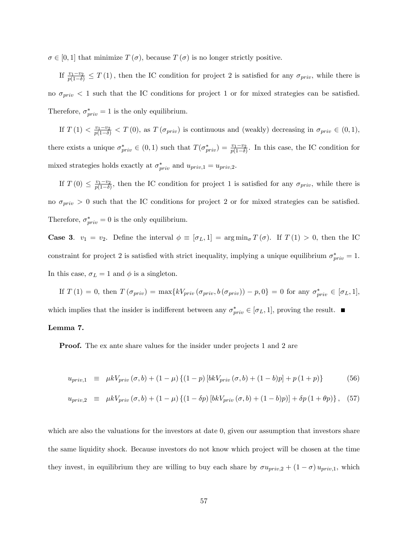$\sigma \in [0, 1]$  that minimize  $T(\sigma)$ , because  $T(\sigma)$  is no longer strictly positive.

If  $\frac{v_1-v_2}{p(1-\delta)} \leq T(1)$ , then the IC condition for project 2 is satisfied for any  $\sigma_{priv}$ , while there is no  $\sigma_{priv}$  < 1 such that the IC conditions for project 1 or for mixed strategies can be satisfied. Therefore,  $\sigma_{priv}^* = 1$  is the only equilibrium.

If  $T(1) < \frac{v_1-v_2}{p(1-\delta)} < T(0)$ , as  $T(\sigma_{priv})$  is continuous and (weakly) decreasing in  $\sigma_{priv} \in (0,1)$ , there exists a unique  $\sigma_{priv}^* \in (0,1)$  such that  $T(\sigma_{priv}^*) = \frac{v_1 - v_2}{p(1 - \delta)}$ . In this case, the IC condition for mixed strategies holds exactly at  $\sigma_{priv}^*$  and  $u_{priv,1} = u_{priv,2}$ .

If  $T(0) \leq \frac{v_1-v_2}{p(1-\delta)}$  $\frac{v_1-v_2}{p(1-\delta)}$ , then the IC condition for project 1 is satisfied for any  $\sigma_{priv}$ , while there is no  $\sigma_{priv} > 0$  such that the IC conditions for project 2 or for mixed strategies can be satisfied. Therefore,  $\sigma_{priv}^* = 0$  is the only equilibrium.

**Case 3.**  $v_1 = v_2$ . Define the interval  $\phi \equiv [\sigma_L, 1] = \arg \min_{\sigma} T(\sigma)$ . If  $T(1) > 0$ , then the IC constraint for project 2 is satisfied with strict inequality, implying a unique equilibrium  $\sigma_{priv}^{*} = 1$ . In this case,  $\sigma_L = 1$  and  $\phi$  is a singleton.

If  $T(1) = 0$ , then  $T(\sigma_{priv}) = \max\{kV_{priv}(\sigma_{priv}, b(\sigma_{priv})) - p, 0\} = 0$  for any  $\sigma_{priv}^* \in [\sigma_L, 1]$ , which implies that the insider is indifferent between any  $\sigma_{priv}^* \in [\sigma_L, 1]$ , proving the result.

## Lemma 7.

Proof. The ex ante share values for the insider under projects 1 and 2 are

$$
u_{priv,1} \equiv \mu k V_{priv} (\sigma, b) + (1 - \mu) \{ (1 - p) [bk V_{priv} (\sigma, b) + (1 - b)p] + p (1 + p) \}
$$
(56)

$$
u_{priv,2} \equiv \mu k V_{priv} (\sigma, b) + (1 - \mu) \{ (1 - \delta p) [bk V_{priv} (\sigma, b) + (1 - b)p] \} + \delta p (1 + \theta p) \}, \quad (57)
$$

which are also the valuations for the investors at date 0, given our assumption that investors share the same liquidity shock. Because investors do not know which project will be chosen at the time they invest, in equilibrium they are willing to buy each share by  $\sigma u_{priv,2} + (1 - \sigma) u_{priv,1}$ , which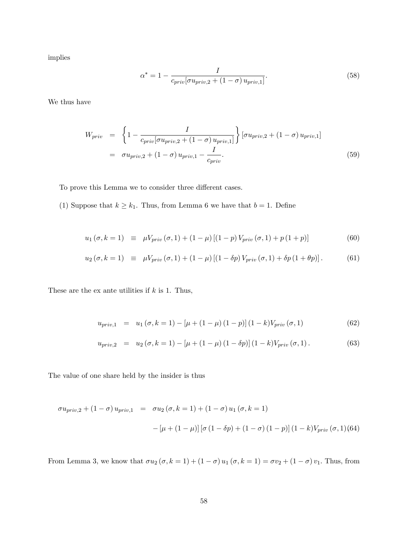implies

$$
\alpha^* = 1 - \frac{I}{c_{priv}[\sigma u_{priv,2} + (1 - \sigma) u_{priv,1}]}.
$$
\n
$$
(58)
$$

We thus have

$$
W_{priv} = \left\{ 1 - \frac{I}{c_{priv}[\sigma u_{priv,2} + (1 - \sigma) u_{priv,1}]} \right\} [\sigma u_{priv,2} + (1 - \sigma) u_{priv,1}]
$$
  

$$
= \sigma u_{priv,2} + (1 - \sigma) u_{priv,1} - \frac{I}{c_{priv}}.
$$
 (59)

To prove this Lemma we to consider three different cases.

(1) Suppose that  $k \geq k_1$ . Thus, from Lemma 6 we have that  $b = 1$ . Define

$$
u_1(\sigma, k=1) \equiv \mu V_{priv}(\sigma, 1) + (1-\mu) [(1-p) V_{priv}(\sigma, 1) + p(1+p)] \tag{60}
$$

$$
u_2(\sigma, k=1) \equiv \mu V_{priv}(\sigma, 1) + (1 - \mu) [(1 - \delta p) V_{priv}(\sigma, 1) + \delta p (1 + \theta p)]. \tag{61}
$$

These are the ex ante utilities if  $k$  is 1. Thus,

$$
u_{priv,1} = u_1 (\sigma, k = 1) - [\mu + (1 - \mu) (1 - p)] (1 - k) V_{priv} (\sigma, 1)
$$
 (62)

$$
u_{priv,2} = u_2 (\sigma, k = 1) - [\mu + (1 - \mu) (1 - \delta p)] (1 - k) V_{priv} (\sigma, 1).
$$
 (63)

The value of one share held by the insider is thus

$$
\sigma u_{priv,2} + (1 - \sigma) u_{priv,1} = \sigma u_2 (\sigma, k = 1) + (1 - \sigma) u_1 (\sigma, k = 1)
$$

$$
- [\mu + (1 - \mu)] [\sigma (1 - \delta p) + (1 - \sigma) (1 - p)] (1 - k) V_{priv} (\sigma, 1) (64)
$$

From Lemma 3, we know that  $\sigma u_2 (\sigma, k = 1) + (1 - \sigma) u_1 (\sigma, k = 1) = \sigma v_2 + (1 - \sigma) v_1$ . Thus, from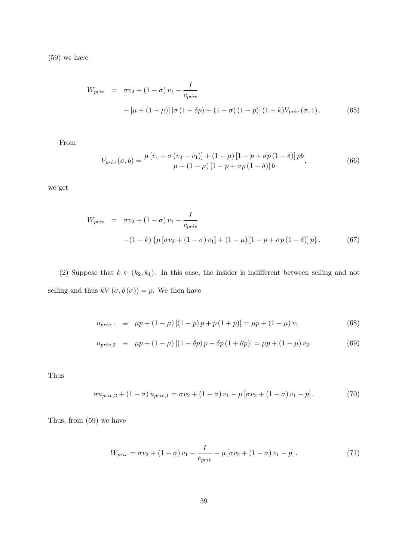(59) we have

$$
W_{priv} = \sigma v_2 + (1 - \sigma) v_1 - \frac{I}{c_{priv}}
$$
  
 
$$
- [\mu + (1 - \mu)] [\sigma (1 - \delta p) + (1 - \sigma) (1 - p)] (1 - k) V_{priv} (\sigma, 1).
$$
 (65)

From

$$
V_{priv}(\sigma, b) = \frac{\mu \left[v_1 + \sigma \left(v_2 - v_1\right)\right] + (1 - \mu) \left[1 - p + \sigma p \left(1 - \delta\right)\right] pb}{\mu + (1 - \mu) \left[1 - p + \sigma p \left(1 - \delta\right)\right] b},\tag{66}
$$

we get

$$
W_{priv} = \sigma v_2 + (1 - \sigma) v_1 - \frac{I}{c_{priv}}
$$
  
-(1 - k) { $\mu$  [ $\sigma v_2$  + (1 -  $\sigma$ )  $v_1$ ] + (1 -  $\mu$ ) [1 -  $p$  +  $\sigma p$  (1 -  $\delta$ )]  $p$ }. (67)

(2) Suppose that  $k \in (k_2, k_1)$ . In this case, the insider is indifferent between selling and not selling and thus  $kV(\sigma, b(\sigma)) = p$ . We then have

$$
u_{priv,1} \equiv \mu p + (1 - \mu) [(1 - p) p + p (1 + p)] = \mu p + (1 - \mu) v_1 \tag{68}
$$

$$
u_{priv,2} \equiv \mu p + (1 - \mu) [(1 - \delta p) p + \delta p (1 + \theta p)] = \mu p + (1 - \mu) v_2. \tag{69}
$$

Thus

$$
\sigma u_{priv,2} + (1 - \sigma) u_{priv,1} = \sigma v_2 + (1 - \sigma) v_1 - \mu [\sigma v_2 + (1 - \sigma) v_1 - p]. \tag{70}
$$

Thus, from (59) we have

$$
W_{priv} = \sigma v_2 + (1 - \sigma) v_1 - \frac{I}{c_{priv}} - \mu \left[ \sigma v_2 + (1 - \sigma) v_1 - p \right]. \tag{71}
$$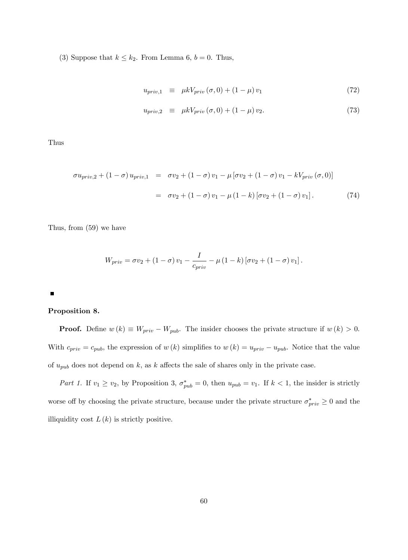(3) Suppose that  $k \leq k_2$ . From Lemma 6,  $b = 0$ . Thus,

$$
u_{priv,1} \equiv \mu k V_{priv} (\sigma, 0) + (1 - \mu) v_1 \tag{72}
$$

$$
u_{priv,2} \equiv \mu k V_{priv} (\sigma, 0) + (1 - \mu) v_2. \tag{73}
$$

Thus

$$
\sigma u_{priv,2} + (1 - \sigma) u_{priv,1} = \sigma v_2 + (1 - \sigma) v_1 - \mu [\sigma v_2 + (1 - \sigma) v_1 - kV_{priv} (\sigma, 0)]
$$
  

$$
= \sigma v_2 + (1 - \sigma) v_1 - \mu (1 - k) [\sigma v_2 + (1 - \sigma) v_1]. \tag{74}
$$

Thus, from (59) we have

$$
W_{priv} = \sigma v_2 + \left(1 - \sigma\right)v_1 - \frac{I}{c_{priv}} - \mu\left(1 - k\right)\left[\sigma v_2 + \left(1 - \sigma\right)v_1\right].
$$

#### $\blacksquare$

## Proposition 8.

**Proof.** Define  $w(k) \equiv W_{priv} - W_{pub}$ . The insider chooses the private structure if  $w(k) > 0$ . With  $c_{priv} = c_{pub}$ , the expression of  $w(k)$  simplifies to  $w(k) = u_{priv} - u_{pub}$ . Notice that the value of  $u_{pub}$  does not depend on k, as k affects the sale of shares only in the private case.

Part 1. If  $v_1 \ge v_2$ , by Proposition 3,  $\sigma_{pub}^* = 0$ , then  $u_{pub} = v_1$ . If  $k < 1$ , the insider is strictly worse off by choosing the private structure, because under the private structure  $\sigma_{priv}^* \geq 0$  and the illiquidity cost  $L(k)$  is strictly positive.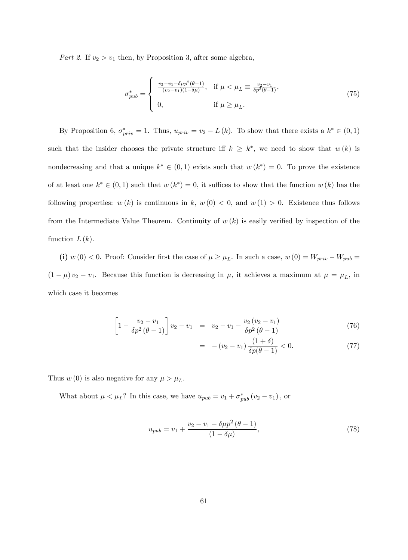Part 2. If  $v_2 > v_1$  then, by Proposition 3, after some algebra,

$$
\sigma_{pub}^{*} = \begin{cases}\n\frac{v_2 - v_1 - \delta \mu p^2 (\theta - 1)}{(v_2 - v_1)(1 - \delta \mu)}, & \text{if } \mu < \mu_L \equiv \frac{v_2 - v_1}{\delta p^2 (\theta - 1)}, \\
0, & \text{if } \mu \ge \mu_L.\n\end{cases}
$$
\n(75)

By Proposition 6,  $\sigma_{priv}^{*} = 1$ . Thus,  $u_{priv} = v_2 - L(k)$ . To show that there exists a  $k^* \in (0,1)$ such that the insider chooses the private structure if  $k \geq k^*$ , we need to show that  $w(k)$  is nondecreasing and that a unique  $k^* \in (0,1)$  exists such that  $w(k^*) = 0$ . To prove the existence of at least one  $k^* \in (0,1)$  such that  $w(k^*) = 0$ , it suffices to show that the function  $w(k)$  has the following properties:  $w(k)$  is continuous in k,  $w(0) < 0$ , and  $w(1) > 0$ . Existence thus follows from the Intermediate Value Theorem. Continuity of  $w(k)$  is easily verified by inspection of the function  $L(k)$ .

(i)  $w(0) < 0$ . Proof: Consider first the case of  $\mu \ge \mu_L$ . In such a case,  $w(0) = W_{priv} - W_{pub} =$  $(1 - \mu) v_2 - v_1$ . Because this function is decreasing in  $\mu$ , it achieves a maximum at  $\mu = \mu_L$ , in which case it becomes

$$
\left[1 - \frac{v_2 - v_1}{\delta p^2 (\theta - 1)}\right] v_2 - v_1 = v_2 - v_1 - \frac{v_2 (v_2 - v_1)}{\delta p^2 (\theta - 1)}
$$
\n(76)

$$
= -(v_2 - v_1) \frac{(1+\delta)}{\delta p(\theta - 1)} < 0.
$$
 (77)

Thus  $w(0)$  is also negative for any  $\mu > \mu_L$ .

What about  $\mu < \mu_L$ ? In this case, we have  $u_{pub} = v_1 + \sigma_{pub}^*(v_2 - v_1)$ , or

$$
u_{pub} = v_1 + \frac{v_2 - v_1 - \delta \mu p^2 (\theta - 1)}{(1 - \delta \mu)},
$$
\n(78)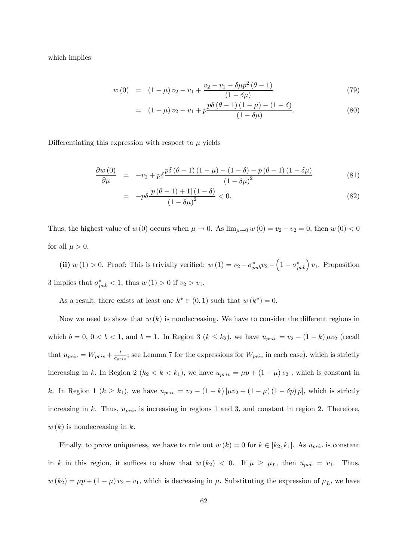which implies

$$
w(0) = (1 - \mu) v_2 - v_1 + \frac{v_2 - v_1 - \delta \mu p^2 (\theta - 1)}{(1 - \delta \mu)}
$$
\n(79)

$$
= (1 - \mu) v_2 - v_1 + p \frac{p \delta (\theta - 1) (1 - \mu) - (1 - \delta)}{(1 - \delta \mu)}.
$$
 (80)

Differentiating this expression with respect to  $\mu$  yields

$$
\frac{\partial w\left(0\right)}{\partial \mu} = -v_2 + p\delta \frac{p\delta\left(\theta - 1\right)\left(1 - \mu\right) - \left(1 - \delta\right) - p\left(\theta - 1\right)\left(1 - \delta\mu\right)}{\left(1 - \delta\mu\right)^2} \tag{81}
$$

$$
= -p\delta \frac{\left[p\left(\theta - 1\right) + 1\right]\left(1 - \delta\right)}{\left(1 - \delta\mu\right)^2} < 0. \tag{82}
$$

Thus, the highest value of w (0) occurs when  $\mu \to 0$ . As  $\lim_{\mu \to 0} w (0) = v_2 - v_2 = 0$ , then  $w (0) < 0$ for all  $\mu > 0$ .

(ii)  $w(1) > 0$ . Proof: This is trivially verified:  $w(1) = v_2 - \sigma_{pub}^* v_2 - \left(1 - \sigma_{pub}^*\right)v_1$ . Proposition 3 implies that  $\sigma_{pub}^* < 1$ , thus  $w(1) > 0$  if  $v_2 > v_1$ .

As a result, there exists at least one  $k^* \in (0,1)$  such that  $w(k^*) = 0$ .

Now we need to show that  $w(k)$  is nondecreasing. We have to consider the different regions in which  $b = 0, 0 < b < 1$ , and  $b = 1$ . In Region 3 ( $k \le k_2$ ), we have  $u_{priv} = v_2 - (1 - k) \mu v_2$  (recall that  $u_{priv} = W_{priv} + \frac{I}{c_{err}}$  $\frac{I}{c_{priv}}$ ; see Lemma 7 for the expressions for  $W_{priv}$  in each case), which is strictly increasing in k. In Region 2 ( $k_2 < k < k_1$ ), we have  $u_{priv} = \mu p + (1 - \mu) v_2$ , which is constant in k. In Region 1 ( $k \ge k_1$ ), we have  $u_{priv} = v_2 - (1 - k) [\mu v_2 + (1 - \mu) (1 - \delta p) p]$ , which is strictly increasing in k. Thus,  $u_{priv}$  is increasing in regions 1 and 3, and constant in region 2. Therefore,  $w(k)$  is nondecreasing in k.

Finally, to prove uniqueness, we have to rule out  $w(k) = 0$  for  $k \in [k_2, k_1]$ . As  $u_{priv}$  is constant in k in this region, it suffices to show that  $w (k_2) < 0$ . If  $\mu \ge \mu_L$ , then  $u_{pub} = v_1$ . Thus,  $w (k_2) = \mu p + (1 - \mu) v_2 - v_1$ , which is decreasing in  $\mu$ . Substituting the expression of  $\mu_L$ , we have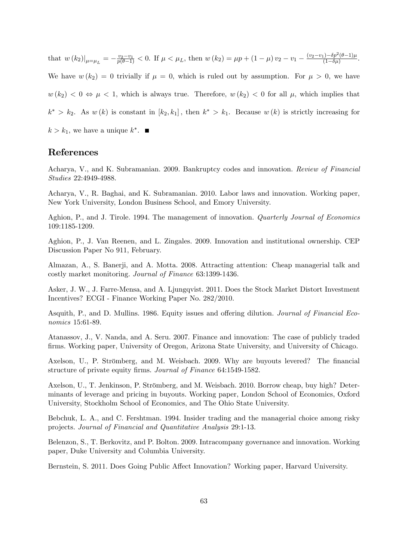that  $w(k_2)|_{\mu=\mu_L} = -\frac{v_2 - v_1}{p(\theta - 1)} < 0$ . If  $\mu < \mu_L$ , then  $w(k_2) = \mu p + (1 - \mu) v_2 - v_1 - \frac{(v_2 - v_1) - \delta p^2(\theta - 1)\mu}{(1 - \delta \mu)}$  $\frac{(1-\delta p^2(\theta-1))\mu}{(1-\delta\mu)}$ We have  $w (k_2) = 0$  trivially if  $\mu = 0$ , which is ruled out by assumption. For  $\mu > 0$ , we have  $w (k_2) < 0 \Leftrightarrow \mu < 1$ , which is always true. Therefore,  $w (k_2) < 0$  for all  $\mu$ , which implies that  $k^* > k_2$ . As  $w(k)$  is constant in  $[k_2, k_1]$ , then  $k^* > k_1$ . Because  $w(k)$  is strictly increasing for

 $k > k_1$ , we have a unique  $k^*$ .

# References

Acharya, V., and K. Subramanian. 2009. Bankruptcy codes and innovation. Review of Financial Studies 22:4949-4988.

Acharya, V., R. Baghai, and K. Subramanian. 2010. Labor laws and innovation. Working paper, New York University, London Business School, and Emory University.

Aghion, P., and J. Tirole. 1994. The management of innovation. *Quarterly Journal of Economics* 109:1185-1209.

Aghion, P., J. Van Reenen, and L. Zingales. 2009. Innovation and institutional ownership. CEP Discussion Paper No 911, February.

Almazan, A., S. Banerji, and A. Motta. 2008. Attracting attention: Cheap managerial talk and costly market monitoring. Journal of Finance 63:1399-1436.

Asker, J. W., J. Farre-Mensa, and A. Ljungqvist. 2011. Does the Stock Market Distort Investment Incentives? ECGI - Finance Working Paper No. 282/2010.

Asquith, P., and D. Mullins. 1986. Equity issues and offering dilution. *Journal of Financial Eco*nomics 15:61-89.

Atanassov, J., V. Nanda, and A. Seru. 2007. Finance and innovation: The case of publicly traded Örms. Working paper, University of Oregon, Arizona State University, and University of Chicago.

Axelson, U., P. Strömberg, and M. Weisbach. 2009. Why are buyouts levered? The financial structure of private equity firms. Journal of Finance 64:1549-1582.

Axelson, U., T. Jenkinson, P. Strömberg, and M. Weisbach. 2010. Borrow cheap, buy high? Determinants of leverage and pricing in buyouts. Working paper, London School of Economics, Oxford University, Stockholm School of Economics, and The Ohio State University.

Bebchuk, L. A., and C. Fershtman. 1994. Insider trading and the managerial choice among risky projects. Journal of Financial and Quantitative Analysis 29:1-13.

Belenzon, S., T. Berkovitz, and P. Bolton. 2009. Intracompany governance and innovation. Working paper, Duke University and Columbia University.

Bernstein, S. 2011. Does Going Public Affect Innovation? Working paper, Harvard University.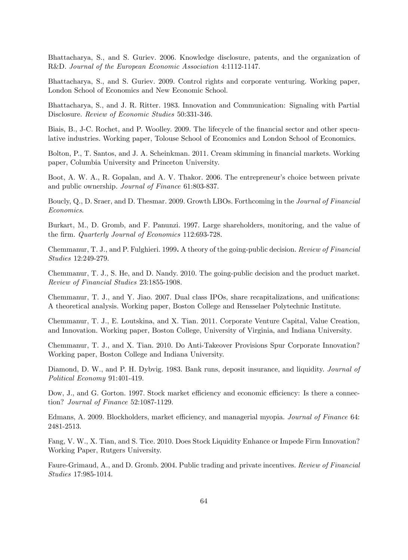Bhattacharya, S., and S. Guriev. 2006. Knowledge disclosure, patents, and the organization of R&D. Journal of the European Economic Association 4:1112-1147.

Bhattacharya, S., and S. Guriev. 2009. Control rights and corporate venturing. Working paper, London School of Economics and New Economic School.

Bhattacharya, S., and J. R. Ritter. 1983. Innovation and Communication: Signaling with Partial Disclosure. Review of Economic Studies 50:331-346.

Biais, B., J-C. Rochet, and P. Woolley. 2009. The lifecycle of the financial sector and other speculative industries. Working paper, Tolouse School of Economics and London School of Economics.

Bolton, P., T. Santos, and J. A. Scheinkman. 2011. Cream skimming in financial markets. Working paper, Columbia University and Princeton University.

Boot, A. W. A., R. Gopalan, and A. V. Thakor. 2006. The entrepreneur's choice between private and public ownership. Journal of Finance 61:803-837.

Boucly, Q., D. Sraer, and D. Thesmar. 2009. Growth LBOs. Forthcoming in the Journal of Financial Economics.

Burkart, M., D. Gromb, and F. Panunzi. 1997. Large shareholders, monitoring, and the value of the firm. *Quarterly Journal of Economics* 112:693-728.

Chemmanur, T. J., and P. Fulghieri. 1999. A theory of the going-public decision. Review of Financial Studies 12:249-279.

Chemmanur, T. J., S. He, and D. Nandy. 2010. The going-public decision and the product market. Review of Financial Studies 23:1855-1908.

Chemmanur, T. J., and Y. Jiao. 2007. Dual class IPOs, share recapitalizations, and unifications: A theoretical analysis. Working paper, Boston College and Rensselaer Polytechnic Institute.

Chemmanur, T. J., E. Loutskina, and X. Tian. 2011. Corporate Venture Capital, Value Creation, and Innovation. Working paper, Boston College, University of Virginia, and Indiana University.

Chemmanur, T. J., and X. Tian. 2010. Do Anti-Takeover Provisions Spur Corporate Innovation? Working paper, Boston College and Indiana University.

Diamond, D. W., and P. H. Dybyig. 1983. Bank runs, deposit insurance, and liquidity. *Journal of* Political Economy 91:401-419.

Dow, J., and G. Gorton. 1997. Stock market efficiency and economic efficiency: Is there a connection? Journal of Finance 52:1087-1129.

Edmans, A. 2009. Blockholders, market efficiency, and managerial myopia. Journal of Finance 64: 2481-2513.

Fang, V. W., X. Tian, and S. Tice. 2010. Does Stock Liquidity Enhance or Impede Firm Innovation? Working Paper, Rutgers University.

Faure-Grimaud, A., and D. Gromb. 2004. Public trading and private incentives. Review of Financial Studies 17:985-1014.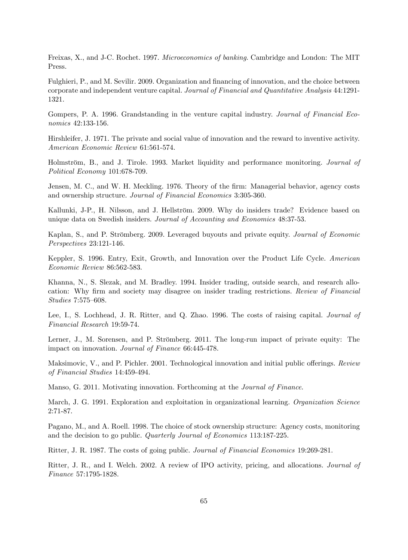Freixas, X., and J-C. Rochet. 1997. Microeconomics of banking. Cambridge and London: The MIT Press.

Fulghieri, P., and M. Sevilir. 2009. Organization and financing of innovation, and the choice between corporate and independent venture capital. Journal of Financial and Quantitative Analysis 44:1291- 1321.

Gompers, P. A. 1996. Grandstanding in the venture capital industry. Journal of Financial Economics 42:133-156.

Hirshleifer, J. 1971. The private and social value of innovation and the reward to inventive activity. American Economic Review 61:561-574.

Holmström, B., and J. Tirole. 1993. Market liquidity and performance monitoring. *Journal of* Political Economy 101:678-709.

Jensen, M. C., and W. H. Meckling. 1976. Theory of the firm: Managerial behavior, agency costs and ownership structure. Journal of Financial Economics 3:305-360.

Kallunki, J-P., H. Nilsson, and J. Hellström. 2009. Why do insiders trade? Evidence based on unique data on Swedish insiders. Journal of Accounting and Economics 48:37-53.

Kaplan, S., and P. Strömberg. 2009. Leveraged buyouts and private equity. *Journal of Economic* Perspectives 23:121-146.

Keppler, S. 1996. Entry, Exit, Growth, and Innovation over the Product Life Cycle. American Economic Review 86:562-583.

Khanna, N., S. Slezak, and M. Bradley. 1994. Insider trading, outside search, and research allocation: Why firm and society may disagree on insider trading restrictions. Review of Financial Studies 7:575-608.

Lee, I., S. Lochhead, J. R. Ritter, and Q. Zhao. 1996. The costs of raising capital. Journal of Financial Research 19:59-74.

Lerner, J., M. Sorensen, and P. Strömberg. 2011. The long-run impact of private equity: The impact on innovation. Journal of Finance 66:445-478.

Maksimovic, V., and P. Pichler. 2001. Technological innovation and initial public offerings. Review of Financial Studies 14:459-494.

Manso, G. 2011. Motivating innovation. Forthcoming at the Journal of Finance.

March, J. G. 1991. Exploration and exploitation in organizational learning. Organization Science 2:71-87.

Pagano, M., and A. Roell. 1998. The choice of stock ownership structure: Agency costs, monitoring and the decision to go public. Quarterly Journal of Economics 113:187-225.

Ritter, J. R. 1987. The costs of going public. Journal of Financial Economics 19:269-281.

Ritter, J. R., and I. Welch. 2002. A review of IPO activity, pricing, and allocations. Journal of Finance 57:1795-1828.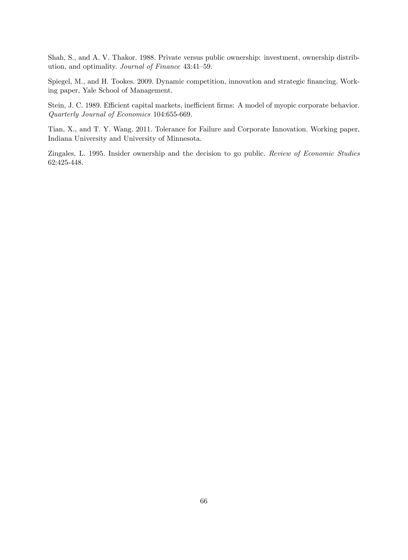Shah, S., and A. V. Thakor. 1988. Private versus public ownership: investment, ownership distribution, and optimality. Journal of Finance 43:41-59.

Spiegel, M., and H. Tookes. 2009. Dynamic competition, innovation and strategic financing. Working paper, Yale School of Management.

Stein, J. C. 1989. Efficient capital markets, inefficient firms: A model of myopic corporate behavior. Quarterly Journal of Economics 104:655-669.

Tian, X., and T. Y. Wang. 2011. Tolerance for Failure and Corporate Innovation. Working paper, Indiana University and University of Minnesota.

Zingales, L. 1995. Insider ownership and the decision to go public. Review of Economic Studies 62:425-448.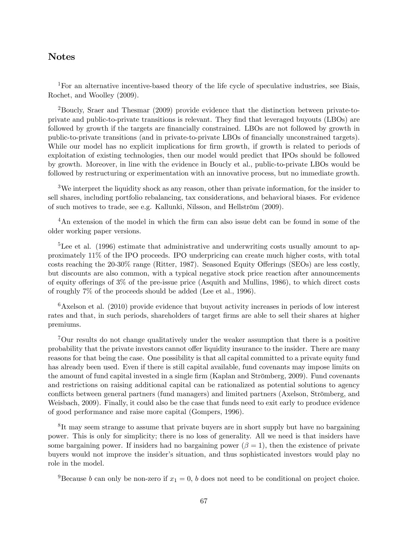# Notes

<sup>1</sup>For an alternative incentive-based theory of the life cycle of speculative industries, see Biais, Rochet, and Woolley (2009).

<sup>2</sup>Boucly, Sraer and Thesmar (2009) provide evidence that the distinction between private-toprivate and public-to-private transitions is relevant. They Önd that leveraged buyouts (LBOs) are followed by growth if the targets are financially constrained. LBOs are not followed by growth in public-to-private transitions (and in private-to-private LBOs of Önancially unconstrained targets). While our model has no explicit implications for firm growth, if growth is related to periods of exploitation of existing technologies, then our model would predict that IPOs should be followed by growth. Moreover, in line with the evidence in Boucly et al., public-to-private LBOs would be followed by restructuring or experimentation with an innovative process, but no immediate growth.

<sup>3</sup>We interpret the liquidity shock as any reason, other than private information, for the insider to sell shares, including portfolio rebalancing, tax considerations, and behavioral biases. For evidence of such motives to trade, see e.g. Kallunki, Nilsson, and Hellström (2009).

 $4<sup>4</sup>$ An extension of the model in which the firm can also issue debt can be found in some of the older working paper versions.

<sup>5</sup>Lee et al. (1996) estimate that administrative and underwriting costs usually amount to approximately 11% of the IPO proceeds. IPO underpricing can create much higher costs, with total costs reaching the  $20-30\%$  range (Ritter, 1987). Seasoned Equity Offerings (SEOs) are less costly, but discounts are also common, with a typical negative stock price reaction after announcements of equity offerings of  $3\%$  of the pre-issue price (Asquith and Mullins, 1986), to which direct costs of roughly 7% of the proceeds should be added (Lee et al., 1996).

 $6$ Axelson et al. (2010) provide evidence that buyout activity increases in periods of low interest rates and that, in such periods, shareholders of target firms are able to sell their shares at higher premiums.

<sup>7</sup>Our results do not change qualitatively under the weaker assumption that there is a positive probability that the private investors cannot offer liquidity insurance to the insider. There are many reasons for that being the case. One possibility is that all capital committed to a private equity fund has already been used. Even if there is still capital available, fund covenants may impose limits on the amount of fund capital invested in a single firm (Kaplan and Strömberg, 2009). Fund covenants and restrictions on raising additional capital can be rationalized as potential solutions to agency conflicts between general partners (fund managers) and limited partners (Axelson, Strömberg, and Weisbach, 2009). Finally, it could also be the case that funds need to exit early to produce evidence of good performance and raise more capital (Gompers, 1996).

<sup>8</sup>It may seem strange to assume that private buyers are in short supply but have no bargaining power. This is only for simplicity; there is no loss of generality. All we need is that insiders have some bargaining power. If insiders had no bargaining power  $(\beta = 1)$ , then the existence of private buyers would not improve the insider's situation, and thus sophisticated investors would play no role in the model.

<sup>9</sup>Because *b* can only be non-zero if  $x_1 = 0$ , *b* does not need to be conditional on project choice.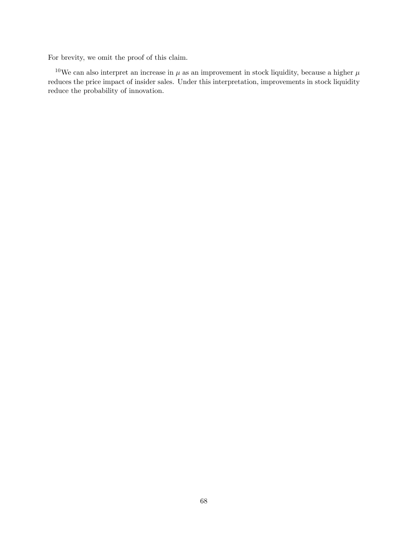For brevity, we omit the proof of this claim.

<sup>10</sup>We can also interpret an increase in  $\mu$  as an improvement in stock liquidity, because a higher  $\mu$ reduces the price impact of insider sales. Under this interpretation, improvements in stock liquidity reduce the probability of innovation.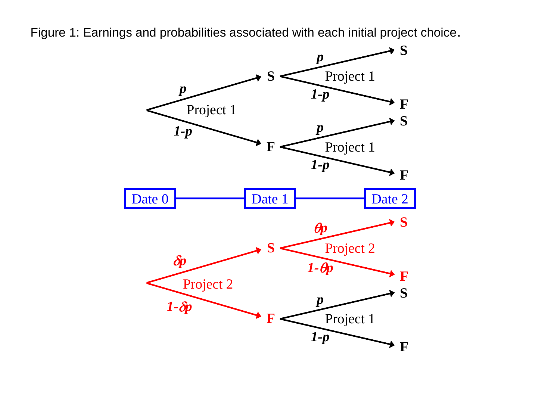Figure 1: Earnings and probabilities associated with each initial project choice.

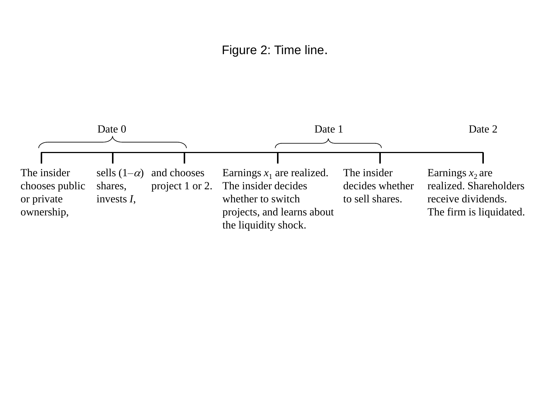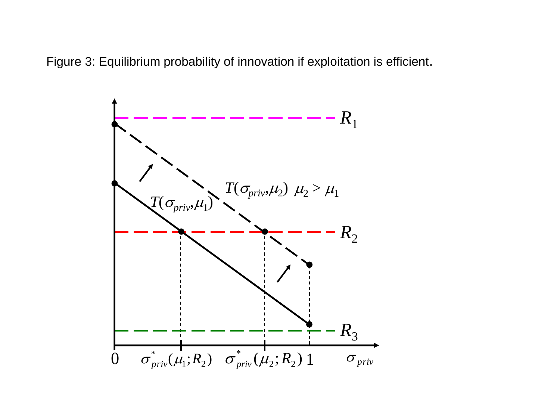Figure 3: Equilibrium probability of innovation if exploitation is efficient.